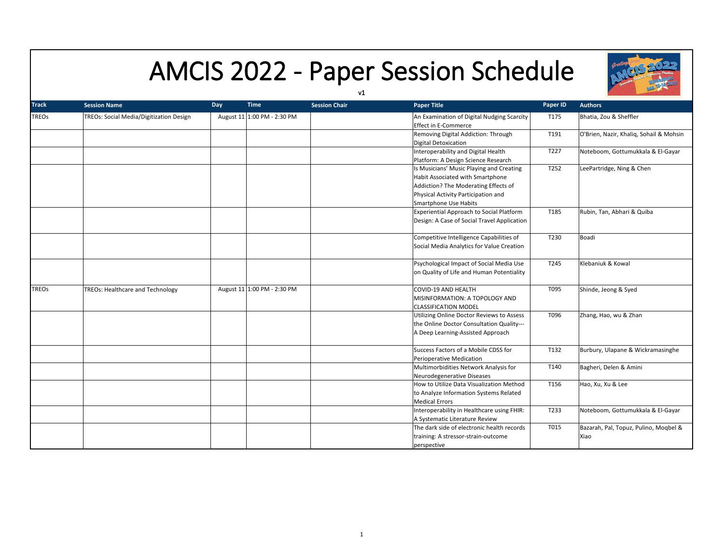

## AMCIS 2022 - Paper Session Schedule

|              |                                         |     |                             | v1                   |                                                                                                                                                                                      |                  |                                               |
|--------------|-----------------------------------------|-----|-----------------------------|----------------------|--------------------------------------------------------------------------------------------------------------------------------------------------------------------------------------|------------------|-----------------------------------------------|
| <b>Track</b> | <b>Session Name</b>                     | Day | <b>Time</b>                 | <b>Session Chair</b> | <b>Paper Title</b>                                                                                                                                                                   | Paper ID         | <b>Authors</b>                                |
| TREOs        | TREOs: Social Media/Digitization Design |     | August 11 1:00 PM - 2:30 PM |                      | An Examination of Digital Nudging Scarcity<br><b>Effect in E-Commerce</b>                                                                                                            | T175             | Bhatia, Zou & Sheffler                        |
|              |                                         |     |                             |                      | Removing Digital Addiction: Through<br>Digital Detoxication                                                                                                                          | T191             | O'Brien, Nazir, Khaliq, Sohail & Mohsin       |
|              |                                         |     |                             |                      | Interoperability and Digital Health<br>Platform: A Design Science Research                                                                                                           | T227             | Noteboom, Gottumukkala & El-Gayar             |
|              |                                         |     |                             |                      | Is Musicians' Music Playing and Creating<br>Habit Associated with Smartphone<br>Addiction? The Moderating Effects of<br>Physical Activity Participation and<br>Smartphone Use Habits | T252             | LeePartridge, Ning & Chen                     |
|              |                                         |     |                             |                      | Experiential Approach to Social Platform<br>Design: A Case of Social Travel Application                                                                                              | T185             | Rubin, Tan, Abhari & Quiba                    |
|              |                                         |     |                             |                      | Competitive Intelligence Capabilities of<br>Social Media Analytics for Value Creation                                                                                                | T230             | Boadi                                         |
|              |                                         |     |                             |                      | Psychological Impact of Social Media Use<br>on Quality of Life and Human Potentiality                                                                                                | T <sub>245</sub> | Klebaniuk & Kowal                             |
| <b>TREOs</b> | <b>TREOs: Healthcare and Technology</b> |     | August 11 1:00 PM - 2:30 PM |                      | COVID-19 AND HEALTH<br>MISINFORMATION: A TOPOLOGY AND<br><b>CLASSIFICATION MODEL</b>                                                                                                 | T095             | Shinde, Jeong & Syed                          |
|              |                                         |     |                             |                      | Utilizing Online Doctor Reviews to Assess<br>the Online Doctor Consultation Quality---<br>A Deep Learning-Assisted Approach                                                          | T096             | Zhang, Hao, wu & Zhan                         |
|              |                                         |     |                             |                      | Success Factors of a Mobile CDSS for<br>Perioperative Medication                                                                                                                     | T132             | Burbury, Ulapane & Wickramasinghe             |
|              |                                         |     |                             |                      | Multimorbidities Network Analysis for<br>Neurodegenerative Diseases                                                                                                                  | T140             | Bagheri, Delen & Amini                        |
|              |                                         |     |                             |                      | How to Utilize Data Visualization Method<br>to Analyze Information Systems Related<br><b>Medical Errors</b>                                                                          | T156             | Hao, Xu, Xu & Lee                             |
|              |                                         |     |                             |                      | Interoperability in Healthcare using FHIR:<br>A Systematic Literature Review                                                                                                         | T233             | Noteboom, Gottumukkala & El-Gayar             |
|              |                                         |     |                             |                      | The dark side of electronic health records<br>training: A stressor-strain-outcome<br>perspective                                                                                     | T015             | Bazarah, Pal, Topuz, Pulino, Mogbel &<br>Xiao |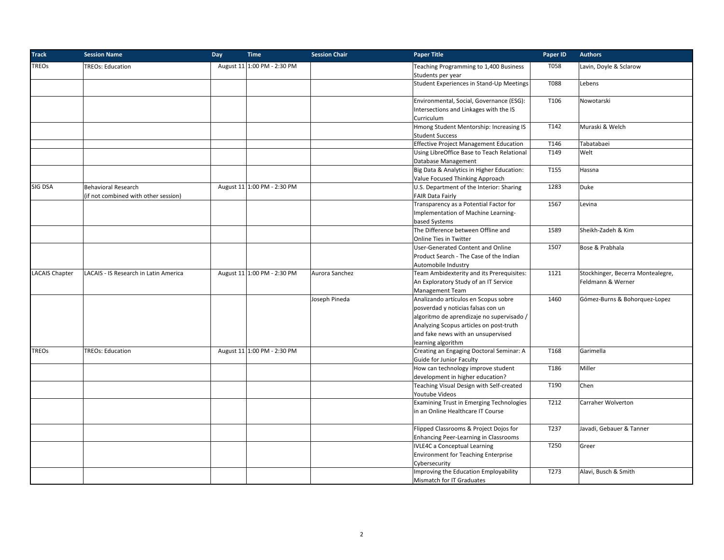| <b>Track</b>          | <b>Session Name</b>                   | Day | <b>Time</b>                 | <b>Session Chair</b> | <b>Paper Title</b>                                          | Paper ID | <b>Authors</b>                    |
|-----------------------|---------------------------------------|-----|-----------------------------|----------------------|-------------------------------------------------------------|----------|-----------------------------------|
| <b>TREOs</b>          | <b>TREOs: Education</b>               |     | August 11 1:00 PM - 2:30 PM |                      | Teaching Programming to 1,400 Business<br>Students per year | T058     | Lavin, Doyle & Sclarow            |
|                       |                                       |     |                             |                      | Student Experiences in Stand-Up Meetings                    | T088     | Lebens                            |
|                       |                                       |     |                             |                      | Environmental, Social, Governance (ESG):                    | T106     | Nowotarski                        |
|                       |                                       |     |                             |                      | Intersections and Linkages with the IS                      |          |                                   |
|                       |                                       |     |                             |                      | Curriculum                                                  |          |                                   |
|                       |                                       |     |                             |                      | Hmong Student Mentorship: Increasing IS                     | T142     | Muraski & Welch                   |
|                       |                                       |     |                             |                      | <b>Student Success</b>                                      |          |                                   |
|                       |                                       |     |                             |                      | <b>Effective Project Management Education</b>               | T146     | Tabatabaei                        |
|                       |                                       |     |                             |                      | Using LibreOffice Base to Teach Relational                  | T149     | Welt                              |
|                       |                                       |     |                             |                      | Database Management                                         |          |                                   |
|                       |                                       |     |                             |                      | Big Data & Analytics in Higher Education:                   | T155     | Hassna                            |
|                       |                                       |     |                             |                      | Value Focused Thinking Approach                             |          |                                   |
| SIG DSA               | <b>Behavioral Research</b>            |     | August 11 1:00 PM - 2:30 PM |                      | U.S. Department of the Interior: Sharing                    | 1283     | Duke                              |
|                       | (if not combined with other session)  |     |                             |                      | <b>FAIR Data Fairly</b>                                     |          |                                   |
|                       |                                       |     |                             |                      | Transparency as a Potential Factor for                      | 1567     | Levina                            |
|                       |                                       |     |                             |                      | Implementation of Machine Learning-                         |          |                                   |
|                       |                                       |     |                             |                      | based Systems                                               |          |                                   |
|                       |                                       |     |                             |                      | The Difference between Offline and                          | 1589     | Sheikh-Zadeh & Kim                |
|                       |                                       |     |                             |                      | Online Ties in Twitter                                      |          |                                   |
|                       |                                       |     |                             |                      | User-Generated Content and Online                           | 1507     | Bose & Prabhala                   |
|                       |                                       |     |                             |                      | Product Search - The Case of the Indian                     |          |                                   |
|                       |                                       |     |                             |                      | Automobile Industry                                         |          |                                   |
| <b>LACAIS Chapter</b> | LACAIS - IS Research in Latin America |     | August 11 1:00 PM - 2:30 PM | Aurora Sanchez       | Team Ambidexterity and its Prerequisites:                   | 1121     | Stockhinger, Becerra Montealegre, |
|                       |                                       |     |                             |                      | An Exploratory Study of an IT Service                       |          | Feldmann & Werner                 |
|                       |                                       |     |                             |                      | <b>Management Team</b>                                      |          |                                   |
|                       |                                       |     |                             | Joseph Pineda        | Analizando artículos en Scopus sobre                        | 1460     | Gómez-Burns & Bohorquez-Lopez     |
|                       |                                       |     |                             |                      | posverdad y noticias falsas con un                          |          |                                   |
|                       |                                       |     |                             |                      | algoritmo de aprendizaje no supervisado /                   |          |                                   |
|                       |                                       |     |                             |                      | Analyzing Scopus articles on post-truth                     |          |                                   |
|                       |                                       |     |                             |                      | and fake news with an unsupervised                          |          |                                   |
|                       |                                       |     |                             |                      | learning algorithm                                          |          |                                   |
| <b>TREOs</b>          | <b>TREOs: Education</b>               |     | August 11 1:00 PM - 2:30 PM |                      | Creating an Engaging Doctoral Seminar: A                    | T168     | Garimella                         |
|                       |                                       |     |                             |                      | Guide for Junior Faculty                                    |          |                                   |
|                       |                                       |     |                             |                      | How can technology improve student                          | T186     | Miller                            |
|                       |                                       |     |                             |                      | development in higher education?                            |          |                                   |
|                       |                                       |     |                             |                      | Teaching Visual Design with Self-created                    | T190     | Chen                              |
|                       |                                       |     |                             |                      | Youtube Videos                                              |          |                                   |
|                       |                                       |     |                             |                      | Examining Trust in Emerging Technologies                    | T212     | Carraher Wolverton                |
|                       |                                       |     |                             |                      | in an Online Healthcare IT Course                           |          |                                   |
|                       |                                       |     |                             |                      |                                                             |          |                                   |
|                       |                                       |     |                             |                      | Flipped Classrooms & Project Dojos for                      | T237     | Javadi, Gebauer & Tanner          |
|                       |                                       |     |                             |                      | Enhancing Peer-Learning in Classrooms                       |          |                                   |
|                       |                                       |     |                             |                      | <b>IVLE4C</b> a Conceptual Learning                         | T250     | Greer                             |
|                       |                                       |     |                             |                      | <b>Environment for Teaching Enterprise</b>                  |          |                                   |
|                       |                                       |     |                             |                      | Cybersecurity                                               |          |                                   |
|                       |                                       |     |                             |                      | Improving the Education Employability                       | T273     | Alavi, Busch & Smith              |
|                       |                                       |     |                             |                      | Mismatch for IT Graduates                                   |          |                                   |
|                       |                                       |     |                             |                      |                                                             |          |                                   |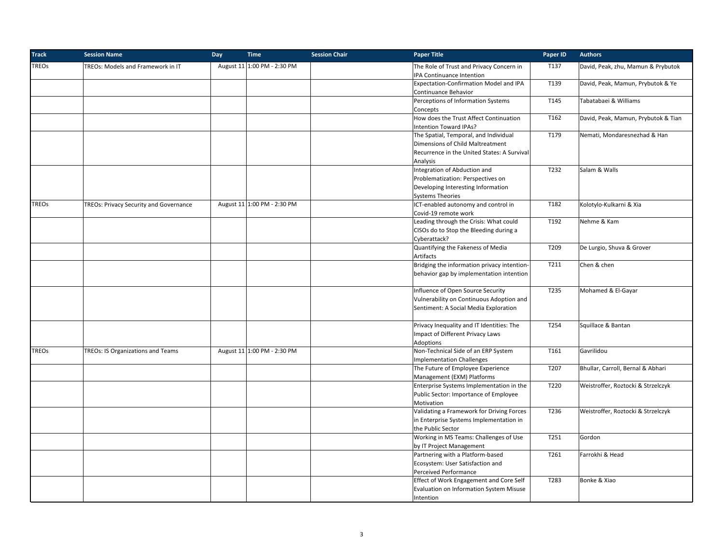| <b>Track</b> | <b>Session Name</b>                    | Day | <b>Time</b>                 | <b>Session Chair</b> | <b>Paper Title</b>                                                    | Paper ID | <b>Authors</b>                      |
|--------------|----------------------------------------|-----|-----------------------------|----------------------|-----------------------------------------------------------------------|----------|-------------------------------------|
| <b>TREOs</b> | TREOs: Models and Framework in IT      |     | August 11 1:00 PM - 2:30 PM |                      | The Role of Trust and Privacy Concern in<br>IPA Continuance Intention | T137     | David, Peak, zhu, Mamun & Prybutok  |
|              |                                        |     |                             |                      | Expectation-Confirmation Model and IPA                                | T139     | David, Peak, Mamun, Prybutok & Ye   |
|              |                                        |     |                             |                      | Continuance Behavior                                                  |          |                                     |
|              |                                        |     |                             |                      | Perceptions of Information Systems                                    | T145     | Tabatabaei & Williams               |
|              |                                        |     |                             |                      | Concepts                                                              |          |                                     |
|              |                                        |     |                             |                      | How does the Trust Affect Continuation<br>Intention Toward IPAs?      | T162     | David, Peak, Mamun, Prybutok & Tian |
|              |                                        |     |                             |                      | The Spatial, Temporal, and Individual                                 | T179     | Nemati, Mondaresnezhad & Han        |
|              |                                        |     |                             |                      | Dimensions of Child Maltreatment                                      |          |                                     |
|              |                                        |     |                             |                      | Recurrence in the United States: A Survival                           |          |                                     |
|              |                                        |     |                             |                      | Analysis                                                              |          |                                     |
|              |                                        |     |                             |                      | Integration of Abduction and                                          | T232     | Salam & Walls                       |
|              |                                        |     |                             |                      | Problematization: Perspectives on                                     |          |                                     |
|              |                                        |     |                             |                      | Developing Interesting Information                                    |          |                                     |
|              |                                        |     |                             |                      | <b>Systems Theories</b>                                               |          |                                     |
| <b>TREOs</b> | TREOs: Privacy Security and Governance |     | August 11 1:00 PM - 2:30 PM |                      | ICT-enabled autonomy and control in<br>Covid-19 remote work           | T182     | Kolotylo-Kulkarni & Xia             |
|              |                                        |     |                             |                      | Leading through the Crisis: What could                                | T192     | Nehme & Kam                         |
|              |                                        |     |                             |                      | CISOs do to Stop the Bleeding during a                                |          |                                     |
|              |                                        |     |                             |                      | Cyberattack?                                                          |          |                                     |
|              |                                        |     |                             |                      | Quantifying the Fakeness of Media                                     | T209     | De Lurgio, Shuva & Grover           |
|              |                                        |     |                             |                      | Artifacts                                                             |          |                                     |
|              |                                        |     |                             |                      | Bridging the information privacy intention-                           | T211     | Chen & chen                         |
|              |                                        |     |                             |                      | behavior gap by implementation intention                              |          |                                     |
|              |                                        |     |                             |                      | Influence of Open Source Security                                     | T235     | Mohamed & El-Gayar                  |
|              |                                        |     |                             |                      | Vulnerability on Continuous Adoption and                              |          |                                     |
|              |                                        |     |                             |                      | Sentiment: A Social Media Exploration                                 |          |                                     |
|              |                                        |     |                             |                      |                                                                       |          |                                     |
|              |                                        |     |                             |                      | Privacy Inequality and IT Identities: The                             | T254     | Squillace & Bantan                  |
|              |                                        |     |                             |                      | Impact of Different Privacy Laws                                      |          |                                     |
|              |                                        |     |                             |                      | Adoptions                                                             |          |                                     |
| <b>TREOs</b> | TREOs: IS Organizations and Teams      |     | August 11 1:00 PM - 2:30 PM |                      | Non-Technical Side of an ERP System                                   | T161     | Gavrilidou                          |
|              |                                        |     |                             |                      | <b>Implementation Challenges</b>                                      |          |                                     |
|              |                                        |     |                             |                      | The Future of Employee Experience                                     | T207     | Bhullar, Carroll, Bernal & Abhari   |
|              |                                        |     |                             |                      | Management (EXM) Platforms                                            |          |                                     |
|              |                                        |     |                             |                      | Enterprise Systems Implementation in the                              | T220     | Weistroffer, Roztocki & Strzelczyk  |
|              |                                        |     |                             |                      | Public Sector: Importance of Employee                                 |          |                                     |
|              |                                        |     |                             |                      | Motivation                                                            |          |                                     |
|              |                                        |     |                             |                      | Validating a Framework for Driving Forces                             | T236     | Weistroffer, Roztocki & Strzelczyk  |
|              |                                        |     |                             |                      | in Enterprise Systems Implementation in                               |          |                                     |
|              |                                        |     |                             |                      | the Public Sector                                                     |          |                                     |
|              |                                        |     |                             |                      | Working in MS Teams: Challenges of Use                                | T251     | Gordon                              |
|              |                                        |     |                             |                      | by IT Project Management                                              |          |                                     |
|              |                                        |     |                             |                      | Partnering with a Platform-based                                      | T261     | Farrokhi & Head                     |
|              |                                        |     |                             |                      | Ecosystem: User Satisfaction and                                      |          |                                     |
|              |                                        |     |                             |                      | Perceived Performance                                                 |          |                                     |
|              |                                        |     |                             |                      | Effect of Work Engagement and Core Self                               | T283     | Bonke & Xiao                        |
|              |                                        |     |                             |                      | Evaluation on Information System Misuse                               |          |                                     |
|              |                                        |     |                             |                      | Intention                                                             |          |                                     |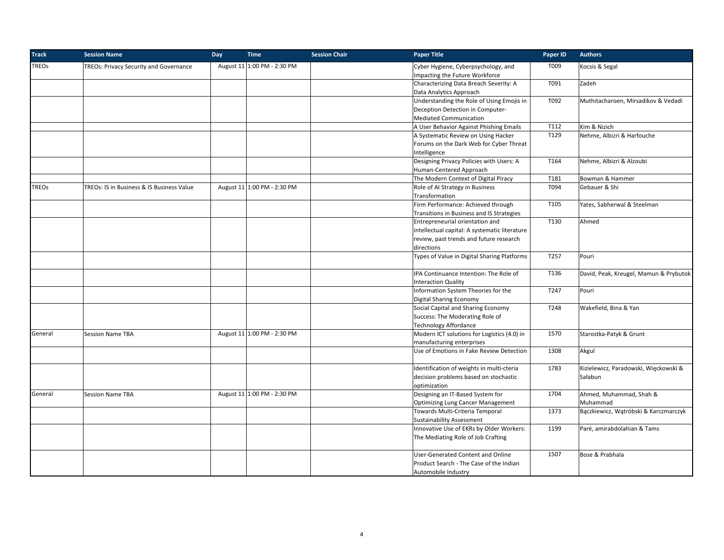| <b>Track</b> | <b>Session Name</b>                       | Day | <b>Time</b>                 | <b>Session Chair</b> | <b>Paper Title</b>                            | Paper ID | <b>Authors</b>                         |
|--------------|-------------------------------------------|-----|-----------------------------|----------------------|-----------------------------------------------|----------|----------------------------------------|
| <b>TREOs</b> | TREOs: Privacy Security and Governance    |     | August 11 1:00 PM - 2:30 PM |                      | Cyber Hygiene, Cyberpsychology, and           | T009     | Kocsis & Segal                         |
|              |                                           |     |                             |                      | Impacting the Future Workforce                |          |                                        |
|              |                                           |     |                             |                      | Characterizing Data Breach Severity: A        | T091     | Zadeh                                  |
|              |                                           |     |                             |                      | Data Analytics Approach                       |          |                                        |
|              |                                           |     |                             |                      | Understanding the Role of Using Emojis in     | T092     | Muthitacharoen, Mirsadikov & Vedadi    |
|              |                                           |     |                             |                      | Deception Detection in Computer-              |          |                                        |
|              |                                           |     |                             |                      | <b>Mediated Communication</b>                 |          |                                        |
|              |                                           |     |                             |                      | A User Behavior Against Phishing Emails       | T112     | Kim & Nizich                           |
|              |                                           |     |                             |                      | A Systematic Review on Using Hacker           | T129     | Nehme, Albizri & Harfouche             |
|              |                                           |     |                             |                      | Forums on the Dark Web for Cyber Threat       |          |                                        |
|              |                                           |     |                             |                      | Intelligence                                  |          |                                        |
|              |                                           |     |                             |                      | Designing Privacy Policies with Users: A      | T164     | Nehme, Albizri & Alzoubi               |
|              |                                           |     |                             |                      | Human-Centered Approach                       |          |                                        |
|              |                                           |     |                             |                      | The Modern Context of Digital Piracy          | T181     | Bowman & Hammer                        |
| <b>TREOs</b> | TREOs: IS in Business & IS Business Value |     | August 11 1:00 PM - 2:30 PM |                      | Role of AI Strategy in Business               | T094     | Gebauer & Shi                          |
|              |                                           |     |                             |                      | Transformation                                |          |                                        |
|              |                                           |     |                             |                      | Firm Performance: Achieved through            | T105     | Yates, Sabherwal & Steelman            |
|              |                                           |     |                             |                      | Transitions in Business and IS Strategies     |          |                                        |
|              |                                           |     |                             |                      | Entrepreneurial orientation and               | T130     | Ahmed                                  |
|              |                                           |     |                             |                      | intellectual capital: A systematic literature |          |                                        |
|              |                                           |     |                             |                      | review, past trends and future research       |          |                                        |
|              |                                           |     |                             |                      | directions                                    |          |                                        |
|              |                                           |     |                             |                      | Types of Value in Digital Sharing Platforms   | T257     | Pouri                                  |
|              |                                           |     |                             |                      | IPA Continuance Intention: The Role of        | T136     | David, Peak, Kreugel, Mamun & Prybutok |
|              |                                           |     |                             |                      | <b>Interaction Quality</b>                    |          |                                        |
|              |                                           |     |                             |                      | Information System Theories for the           | T247     | Pouri                                  |
|              |                                           |     |                             |                      | <b>Digital Sharing Economy</b>                |          |                                        |
|              |                                           |     |                             |                      | Social Capital and Sharing Economy            | T248     | Wakefield, Bina & Yan                  |
|              |                                           |     |                             |                      | Success: The Moderating Role of               |          |                                        |
|              |                                           |     |                             |                      | <b>Technology Affordance</b>                  |          |                                        |
| General      | <b>Session Name TBA</b>                   |     | August 11 1:00 PM - 2:30 PM |                      | Modern ICT solutions for Logistics (4.0) in   | 1570     | Starostka-Patyk & Grunt                |
|              |                                           |     |                             |                      | manufacturing enterprises                     |          |                                        |
|              |                                           |     |                             |                      | Use of Emotions in Fake Review Detection      | 1308     | Akgul                                  |
|              |                                           |     |                             |                      |                                               |          |                                        |
|              |                                           |     |                             |                      | Identification of weights in multi-cteria     | 1783     | Kizielewicz, Paradowski, Więckowski &  |
|              |                                           |     |                             |                      | decision problems based on stochastic         |          | Sałabun                                |
|              |                                           |     |                             |                      | optimization                                  |          |                                        |
| General      | <b>Session Name TBA</b>                   |     | August 11 1:00 PM - 2:30 PM |                      | Designing an IT-Based System for              | 1704     | Ahmed, Muhammad, Shah &                |
|              |                                           |     |                             |                      | <b>Optimizing Lung Cancer Management</b>      |          | Muhammad                               |
|              |                                           |     |                             |                      | Towards Multi-Criteria Temporal               | 1373     | Bączkiewicz, Wątróbski & Karczmarczyk  |
|              |                                           |     |                             |                      | <b>Sustainability Assessment</b>              |          |                                        |
|              |                                           |     |                             |                      | Innovative Use of EKRs by Older Workers:      | 1199     | Paré, amirabdolahian & Tams            |
|              |                                           |     |                             |                      | The Mediating Role of Job Crafting            |          |                                        |
|              |                                           |     |                             |                      | User-Generated Content and Online             | 1507     | Bose & Prabhala                        |
|              |                                           |     |                             |                      | Product Search - The Case of the Indian       |          |                                        |
|              |                                           |     |                             |                      | Automobile Industry                           |          |                                        |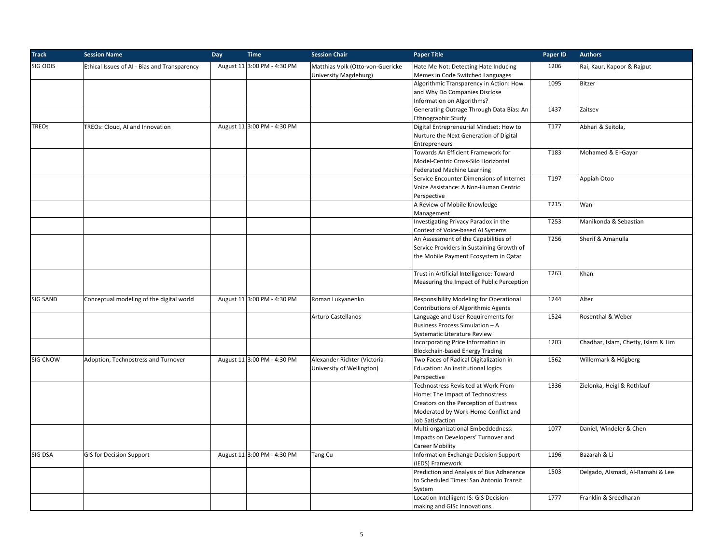| <b>Track</b>    | <b>Session Name</b>                          | Day<br><b>Time</b>          | <b>Session Chair</b>             | <b>Paper Title</b>                             | Paper ID | <b>Authors</b>                      |
|-----------------|----------------------------------------------|-----------------------------|----------------------------------|------------------------------------------------|----------|-------------------------------------|
| SIG ODIS        | Ethical Issues of AI - Bias and Transparency | August 11 3:00 PM - 4:30 PM | Matthias Volk (Otto-von-Guericke | Hate Me Not: Detecting Hate Inducing           | 1206     | Rai, Kaur, Kapoor & Rajput          |
|                 |                                              |                             | University Magdeburg)            | Memes in Code Switched Languages               |          |                                     |
|                 |                                              |                             |                                  | Algorithmic Transparency in Action: How        | 1095     | <b>Bitzer</b>                       |
|                 |                                              |                             |                                  | and Why Do Companies Disclose                  |          |                                     |
|                 |                                              |                             |                                  | Information on Algorithms?                     |          |                                     |
|                 |                                              |                             |                                  | Generating Outrage Through Data Bias: An       | 1437     | Zaitsev                             |
|                 |                                              |                             |                                  | Ethnographic Study                             |          |                                     |
| <b>TREOs</b>    | TREOs: Cloud, AI and Innovation              | August 11 3:00 PM - 4:30 PM |                                  | Digital Entrepreneurial Mindset: How to        | T177     | Abhari & Seitola,                   |
|                 |                                              |                             |                                  | Nurture the Next Generation of Digital         |          |                                     |
|                 |                                              |                             |                                  | Entrepreneurs                                  |          |                                     |
|                 |                                              |                             |                                  | Towards An Efficient Framework for             | T183     | Mohamed & El-Gayar                  |
|                 |                                              |                             |                                  | Model-Centric Cross-Silo Horizontal            |          |                                     |
|                 |                                              |                             |                                  | <b>Federated Machine Learning</b>              |          |                                     |
|                 |                                              |                             |                                  | Service Encounter Dimensions of Internet       | T197     | Appiah Otoo                         |
|                 |                                              |                             |                                  | Voice Assistance: A Non-Human Centric          |          |                                     |
|                 |                                              |                             |                                  | Perspective                                    |          |                                     |
|                 |                                              |                             |                                  | A Review of Mobile Knowledge                   | T215     | Wan                                 |
|                 |                                              |                             |                                  | Management                                     |          |                                     |
|                 |                                              |                             |                                  | Investigating Privacy Paradox in the           | T253     | Manikonda & Sebastian               |
|                 |                                              |                             |                                  | Context of Voice-based AI Systems              |          |                                     |
|                 |                                              |                             |                                  | An Assessment of the Capabilities of           | T256     | Sherif & Amanulla                   |
|                 |                                              |                             |                                  | Service Providers in Sustaining Growth of      |          |                                     |
|                 |                                              |                             |                                  | the Mobile Payment Ecosystem in Qatar          |          |                                     |
|                 |                                              |                             |                                  |                                                |          |                                     |
|                 |                                              |                             |                                  | Trust in Artificial Intelligence: Toward       | T263     | Khan                                |
|                 |                                              |                             |                                  | Measuring the Impact of Public Perception      |          |                                     |
|                 |                                              |                             |                                  |                                                |          |                                     |
| <b>SIG SAND</b> | Conceptual modeling of the digital world     | August 11 3:00 PM - 4:30 PM | Roman Lukyanenko                 | <b>Responsibility Modeling for Operational</b> | 1244     | Alter                               |
|                 |                                              |                             |                                  | Contributions of Algorithmic Agents            |          |                                     |
|                 |                                              |                             | Arturo Castellanos               | Language and User Requirements for             | 1524     | Rosenthal & Weber                   |
|                 |                                              |                             |                                  | Business Process Simulation - A                |          |                                     |
|                 |                                              |                             |                                  | Systematic Literature Review                   |          |                                     |
|                 |                                              |                             |                                  | Incorporating Price Information in             | 1203     | Chadhar, Islam, Chetty, Islam & Lim |
|                 |                                              |                             |                                  | Blockchain-based Energy Trading                |          |                                     |
| <b>SIG CNOW</b> | Adoption, Technostress and Turnover          | August 11 3:00 PM - 4:30 PM | Alexander Richter (Victoria      | Two Faces of Radical Digitalization in         | 1562     | Willermark & Högberg                |
|                 |                                              |                             | University of Wellington)        | Education: An institutional logics             |          |                                     |
|                 |                                              |                             |                                  | Perspective                                    |          |                                     |
|                 |                                              |                             |                                  | Technostress Revisited at Work-From-           | 1336     | Zielonka, Heigl & Rothlauf          |
|                 |                                              |                             |                                  | Home: The Impact of Technostress               |          |                                     |
|                 |                                              |                             |                                  | Creators on the Perception of Eustress         |          |                                     |
|                 |                                              |                             |                                  | Moderated by Work-Home-Conflict and            |          |                                     |
|                 |                                              |                             |                                  | Job Satisfaction                               |          |                                     |
|                 |                                              |                             |                                  | Multi-organizational Embeddedness:             | 1077     | Daniel, Windeler & Chen             |
|                 |                                              |                             |                                  | Impacts on Developers' Turnover and            |          |                                     |
|                 |                                              |                             |                                  | <b>Career Mobility</b>                         |          |                                     |
| SIG DSA         | <b>GIS for Decision Support</b>              | August 11 3:00 PM - 4:30 PM | Tang Cu                          | Information Exchange Decision Support          | 1196     | Bazarah & Li                        |
|                 |                                              |                             |                                  | (IEDS) Framework                               |          |                                     |
|                 |                                              |                             |                                  | Prediction and Analysis of Bus Adherence       | 1503     | Delgado, Alsmadi, Al-Ramahi & Lee   |
|                 |                                              |                             |                                  | to Scheduled Times: San Antonio Transit        |          |                                     |
|                 |                                              |                             |                                  | System                                         |          |                                     |
|                 |                                              |                             |                                  | Location Intelligent IS: GIS Decision-         | 1777     | Franklin & Sreedharan               |
|                 |                                              |                             |                                  |                                                |          |                                     |
|                 |                                              |                             |                                  | making and GISc Innovations                    |          |                                     |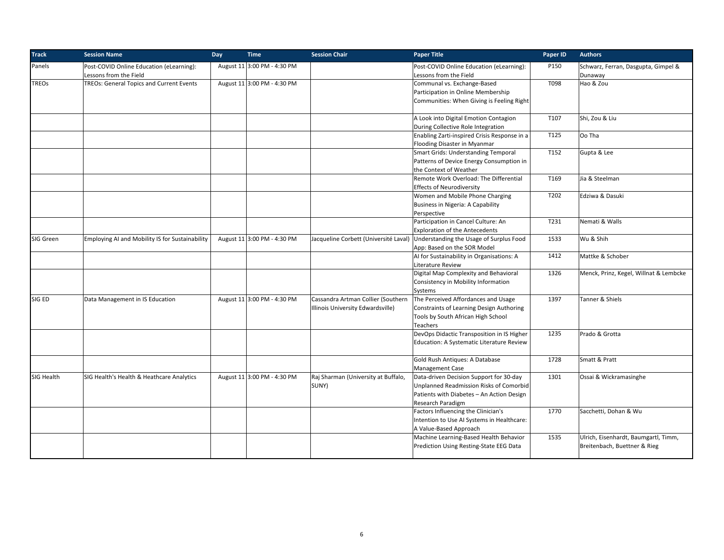| <b>Track</b> | <b>Session Name</b>                                                | Day | <b>Time</b>                 | <b>Session Chair</b>                                                    | <b>Paper Title</b>                                                                                                                                   | Paper ID | <b>Authors</b>                                                       |
|--------------|--------------------------------------------------------------------|-----|-----------------------------|-------------------------------------------------------------------------|------------------------------------------------------------------------------------------------------------------------------------------------------|----------|----------------------------------------------------------------------|
| Panels       | Post-COVID Online Education (eLearning):<br>Lessons from the Field |     | August 11 3:00 PM - 4:30 PM |                                                                         | Post-COVID Online Education (eLearning):<br>Lessons from the Field                                                                                   | P150     | Schwarz, Ferran, Dasgupta, Gimpel &<br>Dunaway                       |
| <b>TREOs</b> | TREOs: General Topics and Current Events                           |     | August 11 3:00 PM - 4:30 PM |                                                                         | Communal vs. Exchange-Based<br>Participation in Online Membership<br>Communities: When Giving is Feeling Right                                       | T098     | Hao & Zou                                                            |
|              |                                                                    |     |                             |                                                                         | A Look into Digital Emotion Contagion<br>During Collective Role Integration                                                                          | T107     | Shi, Zou & Liu                                                       |
|              |                                                                    |     |                             |                                                                         | Enabling Zarti-inspired Crisis Response in a<br>Flooding Disaster in Myanmar                                                                         | T125     | Oo Tha                                                               |
|              |                                                                    |     |                             |                                                                         | <b>Smart Grids: Understanding Temporal</b><br>Patterns of Device Energy Consumption in<br>the Context of Weather                                     | T152     | Gupta & Lee                                                          |
|              |                                                                    |     |                             |                                                                         | Remote Work Overload: The Differential<br><b>Effects of Neurodiversity</b>                                                                           | T169     | Jia & Steelman                                                       |
|              |                                                                    |     |                             |                                                                         | Women and Mobile Phone Charging<br>Business in Nigeria: A Capability<br>Perspective                                                                  | T202     | Edziwa & Dasuki                                                      |
|              |                                                                    |     |                             |                                                                         | Participation in Cancel Culture: An<br><b>Exploration of the Antecedents</b>                                                                         | T231     | Nemati & Walls                                                       |
| SIG Green    | Employing AI and Mobility IS for Sustainability                    |     | August 11 3:00 PM - 4:30 PM |                                                                         | Jacqueline Corbett (Université Laval) Understanding the Usage of Surplus Food<br>App: Based on the SOR Model                                         | 1533     | Wu & Shih                                                            |
|              |                                                                    |     |                             |                                                                         | AI for Sustainability in Organisations: A<br>Literature Review                                                                                       | 1412     | Mattke & Schober                                                     |
|              |                                                                    |     |                             |                                                                         | Digital Map Complexity and Behavioral<br>Consistency in Mobility Information<br>Systems                                                              | 1326     | Menck, Prinz, Kegel, Willnat & Lembcke                               |
| SIG ED       | Data Management in IS Education                                    |     | August 11 3:00 PM - 4:30 PM | Cassandra Artman Collier (Southern<br>Illinois University Edwardsville) | The Perceived Affordances and Usage<br>Constraints of Learning Design Authoring<br>Tools by South African High School<br><b>Teachers</b>             | 1397     | Tanner & Shiels                                                      |
|              |                                                                    |     |                             |                                                                         | DevOps Didactic Transposition in IS Higher<br>Education: A Systematic Literature Review                                                              | 1235     | Prado & Grotta                                                       |
|              |                                                                    |     |                             |                                                                         | Gold Rush Antiques: A Database<br><b>Management Case</b>                                                                                             | 1728     | Smatt & Pratt                                                        |
| SIG Health   | SIG Health's Health & Heathcare Analytics                          |     | August 11 3:00 PM - 4:30 PM | Raj Sharman (University at Buffalo,<br>SUNY)                            | Data-driven Decision Support for 30-day<br>Unplanned Readmission Risks of Comorbid<br>Patients with Diabetes - An Action Design<br>Research Paradigm | 1301     | Ossai & Wickramasinghe                                               |
|              |                                                                    |     |                             |                                                                         | Factors Influencing the Clinician's<br>Intention to Use AI Systems in Healthcare:<br>A Value-Based Approach                                          | 1770     | Sacchetti, Dohan & Wu                                                |
|              |                                                                    |     |                             |                                                                         | Machine Learning-Based Health Behavior<br>Prediction Using Resting-State EEG Data                                                                    | 1535     | Ulrich, Eisenhardt, Baumgartl, Timm,<br>Breitenbach, Buettner & Rieg |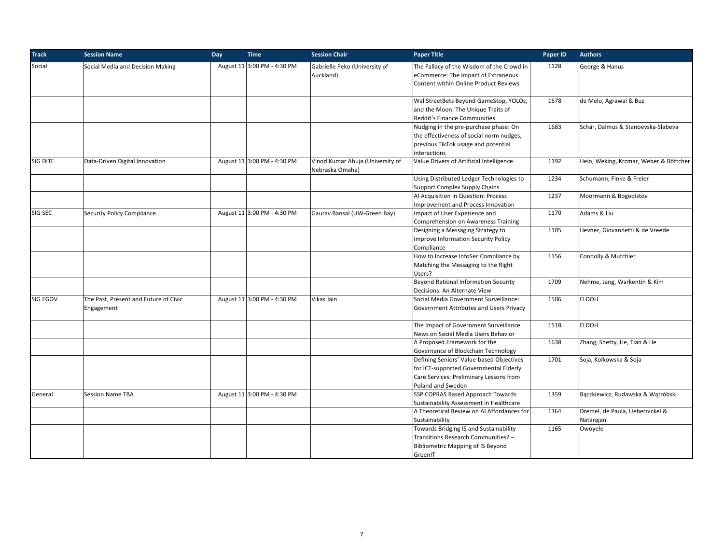| <b>Track</b> | <b>Session Name</b>                                 | Day<br><b>Time</b>          | <b>Session Chair</b>                                | <b>Paper Title</b>                                                                                                                                 | Paper ID | <b>Authors</b>                               |
|--------------|-----------------------------------------------------|-----------------------------|-----------------------------------------------------|----------------------------------------------------------------------------------------------------------------------------------------------------|----------|----------------------------------------------|
| Social       | Social Media and Decision Making                    | August 11 3:00 PM - 4:30 PM | Gabrielle Peko (University of<br>Auckland)          | The Fallacy of the Wisdom of the Crowd in<br>eCommerce: The Impact of Extraneous<br>Content within Online Product Reviews                          | 1128     | George & Hanus                               |
|              |                                                     |                             |                                                     | WallStreetBets Beyond GameStop, YOLOs,<br>and the Moon: The Unique Traits of<br>Reddit's Finance Communities                                       | 1678     | de Melo, Agrawal & Buz                       |
|              |                                                     |                             |                                                     | Nudging in the pre-purchase phase: On<br>the effectiveness of social norm nudges,<br>previous TikTok usage and potential<br>interactions           | 1683     | Schär, Dalmus & Stanoevska-Slabeva           |
| SIG DITE     | Data-Driven Digital Innovation                      | August 11 3:00 PM - 4:30 PM | Vinod Kumar Ahuja (University of<br>Nebraska Omaha) | Value Drivers of Artificial Intelligence                                                                                                           | 1192     | Hein, Weking, Krcmar, Weber & Böttcher       |
|              |                                                     |                             |                                                     | Using Distributed Ledger Technologies to<br><b>Support Complex Supply Chains</b>                                                                   | 1234     | Schumann, Finke & Freier                     |
|              |                                                     |                             |                                                     | Al Acquisition in Question: Process<br>Improvement and Process Innovation                                                                          | 1237     | Moormann & Bogodistov                        |
| SIG SEC      | <b>Security Policy Compliance</b>                   | August 11 3:00 PM - 4:30 PM | Gaurav Bansal (UW-Green Bay)                        | Impact of User Experience and<br>Comprehension on Awareness Training                                                                               | 1170     | Adams & Liu                                  |
|              |                                                     |                             |                                                     | Designing a Messaging Strategy to<br>Improve Information Security Policy<br>Compliance                                                             | 1105     | Hevner, Giovannetti & de Vreede              |
|              |                                                     |                             |                                                     | How to Increase InfoSec Compliance by<br>Matching the Messaging to the Right<br>Users?                                                             | 1156     | Connolly & Mutchler                          |
|              |                                                     |                             |                                                     | Beyond Rational Information Security<br>Decisions: An Alternate View                                                                               | 1709     | Nehme, Jang, Warkentin & Kim                 |
| SIG EGOV     | The Past, Present and Future of Civic<br>Engagement | August 11 3:00 PM - 4:30 PM | Vikas Jain                                          | Social Media Government Surveillance:<br>Government Attributes and Users Privacy                                                                   | 1506     | <b>ELDOH</b>                                 |
|              |                                                     |                             |                                                     | The Impact of Government Surveillance<br>News on Social Media Users Behavior                                                                       | 1518     | <b>ELDOH</b>                                 |
|              |                                                     |                             |                                                     | A Proposed Framework for the<br>Governance of Blockchain Technology                                                                                | 1638     | Zhang, Shetty, He, Tian & He                 |
|              |                                                     |                             |                                                     | Defining Seniors' Value-based Objectives<br>for ICT-supported Governmental Elderly<br>Care Services: Preliminary Lessons from<br>Poland and Sweden | 1701     | Soja, Kolkowska & Soja                       |
| General      | <b>Session Name TBA</b>                             | August 11 3:00 PM - 4:30 PM |                                                     | SSP COPRAS Based Approach Towards<br>Sustainability Assessment in Healthcare                                                                       | 1359     | Bączkiewicz, Rudawska & Wątróbski            |
|              |                                                     |                             |                                                     | A Theoretical Review on AI Affordances for<br>Sustainability                                                                                       | 1364     | Dremel, de Paula, Uebernickel &<br>Natarajan |
|              |                                                     |                             |                                                     | Towards Bridging IS and Sustainability<br>Transitions Research Communities? -<br><b>Bibliometric Mapping of IS Beyond</b><br>GreenIT               | 1165     | Owoyele                                      |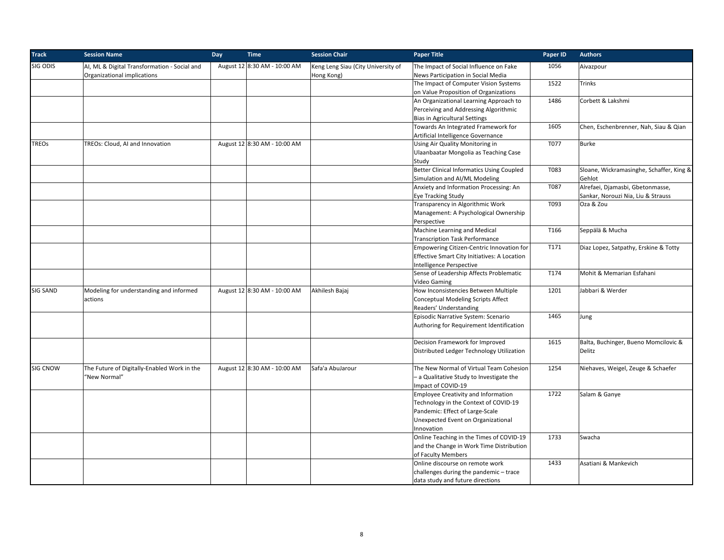| <b>Track</b> | <b>Session Name</b>                          | Day | <b>Time</b>                  | <b>Session Chair</b>               | <b>Paper Title</b>                               | Paper ID | <b>Authors</b>                           |
|--------------|----------------------------------------------|-----|------------------------------|------------------------------------|--------------------------------------------------|----------|------------------------------------------|
| SIG ODIS     | AI, ML & Digital Transformation - Social and |     | August 12 8:30 AM - 10:00 AM | Keng Leng Siau (City University of | The Impact of Social Influence on Fake           | 1056     | Aivazpour                                |
|              | Organizational implications                  |     |                              | Hong Kong)                         | News Participation in Social Media               |          |                                          |
|              |                                              |     |                              |                                    | The Impact of Computer Vision Systems            | 1522     | Trinks                                   |
|              |                                              |     |                              |                                    | on Value Proposition of Organizations            |          |                                          |
|              |                                              |     |                              |                                    | An Organizational Learning Approach to           | 1486     | Corbett & Lakshmi                        |
|              |                                              |     |                              |                                    | Perceiving and Addressing Algorithmic            |          |                                          |
|              |                                              |     |                              |                                    | <b>Bias in Agricultural Settings</b>             |          |                                          |
|              |                                              |     |                              |                                    | Towards An Integrated Framework for              | 1605     | Chen, Eschenbrenner, Nah, Siau & Qian    |
|              |                                              |     |                              |                                    | Artificial Intelligence Governance               |          |                                          |
| <b>TREOs</b> | TREOs: Cloud, AI and Innovation              |     | August 12 8:30 AM - 10:00 AM |                                    | Using Air Quality Monitoring in                  | T077     | <b>Burke</b>                             |
|              |                                              |     |                              |                                    | Ulaanbaatar Mongolia as Teaching Case            |          |                                          |
|              |                                              |     |                              |                                    | Study                                            |          |                                          |
|              |                                              |     |                              |                                    | <b>Better Clinical Informatics Using Coupled</b> | T083     | Sloane, Wickramasinghe, Schaffer, King & |
|              |                                              |     |                              |                                    | Simulation and AI/ML Modeling                    |          | Gehlot                                   |
|              |                                              |     |                              |                                    | Anxiety and Information Processing: An           | T087     | Alrefaei, Djamasbi, Gbetonmasse,         |
|              |                                              |     |                              |                                    | <b>Eye Tracking Study</b>                        |          | Sankar, Norouzi Nia, Liu & Strauss       |
|              |                                              |     |                              |                                    | Transparency in Algorithmic Work                 | T093     | Oza & Zou                                |
|              |                                              |     |                              |                                    | Management: A Psychological Ownership            |          |                                          |
|              |                                              |     |                              |                                    | Perspective                                      |          |                                          |
|              |                                              |     |                              |                                    | Machine Learning and Medical                     | T166     | Seppälä & Mucha                          |
|              |                                              |     |                              |                                    | <b>Transcription Task Performance</b>            |          |                                          |
|              |                                              |     |                              |                                    | Empowering Citizen-Centric Innovation for        | T171     | Diaz Lopez, Satpathy, Erskine & Totty    |
|              |                                              |     |                              |                                    | Effective Smart City Initiatives: A Location     |          |                                          |
|              |                                              |     |                              |                                    | Intelligence Perspective                         |          |                                          |
|              |                                              |     |                              |                                    | Sense of Leadership Affects Problematic          | T174     | Mohit & Memarian Esfahani                |
|              |                                              |     |                              |                                    | Video Gaming                                     |          |                                          |
| SIG SAND     | Modeling for understanding and informed      |     | August 12 8:30 AM - 10:00 AM | Akhilesh Bajaj                     | How Inconsistencies Between Multiple             | 1201     | Jabbari & Werder                         |
|              | actions                                      |     |                              |                                    | <b>Conceptual Modeling Scripts Affect</b>        |          |                                          |
|              |                                              |     |                              |                                    | Readers' Understanding                           |          |                                          |
|              |                                              |     |                              |                                    | Episodic Narrative System: Scenario              | 1465     | Jung                                     |
|              |                                              |     |                              |                                    | Authoring for Requirement Identification         |          |                                          |
|              |                                              |     |                              |                                    |                                                  |          |                                          |
|              |                                              |     |                              |                                    | Decision Framework for Improved                  | 1615     | Balta, Buchinger, Bueno Momcilovic &     |
|              |                                              |     |                              |                                    | Distributed Ledger Technology Utilization        |          | Delitz                                   |
|              |                                              |     |                              |                                    |                                                  |          |                                          |
| SIG CNOW     | The Future of Digitally-Enabled Work in the  |     | August 12 8:30 AM - 10:00 AM | Safa'a AbuJarour                   | The New Normal of Virtual Team Cohesion          | 1254     | Niehaves, Weigel, Zeuge & Schaefer       |
|              | "New Normal"                                 |     |                              |                                    | - a Qualitative Study to Investigate the         |          |                                          |
|              |                                              |     |                              |                                    | Impact of COVID-19                               |          |                                          |
|              |                                              |     |                              |                                    | <b>Employee Creativity and Information</b>       | 1722     | Salam & Ganye                            |
|              |                                              |     |                              |                                    | Technology in the Context of COVID-19            |          |                                          |
|              |                                              |     |                              |                                    | Pandemic: Effect of Large-Scale                  |          |                                          |
|              |                                              |     |                              |                                    | Unexpected Event on Organizational               |          |                                          |
|              |                                              |     |                              |                                    | Innovation                                       |          |                                          |
|              |                                              |     |                              |                                    | Online Teaching in the Times of COVID-19         | 1733     | Swacha                                   |
|              |                                              |     |                              |                                    | and the Change in Work Time Distribution         |          |                                          |
|              |                                              |     |                              |                                    | of Faculty Members                               |          |                                          |
|              |                                              |     |                              |                                    | Online discourse on remote work                  | 1433     | Asatiani & Mankevich                     |
|              |                                              |     |                              |                                    | challenges during the pandemic - trace           |          |                                          |
|              |                                              |     |                              |                                    | data study and future directions                 |          |                                          |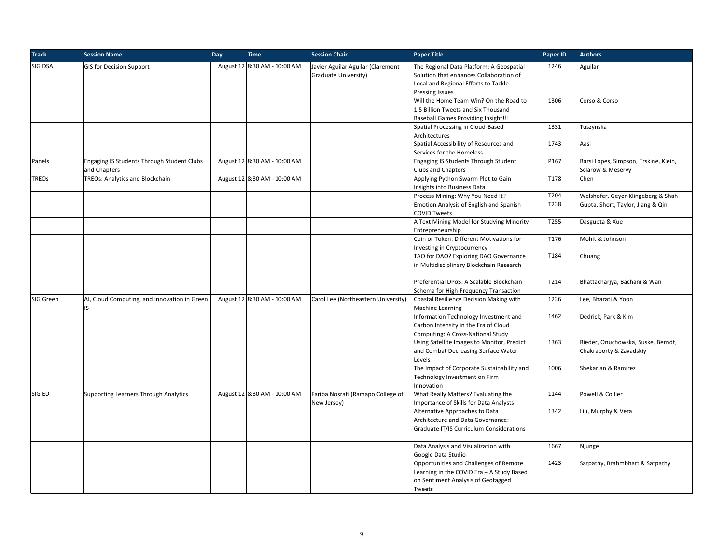| <b>Track</b> | <b>Session Name</b>                          | Day | <b>Time</b>                  | <b>Session Chair</b>                | <b>Paper Title</b>                         | Paper ID         | <b>Authors</b>                        |
|--------------|----------------------------------------------|-----|------------------------------|-------------------------------------|--------------------------------------------|------------------|---------------------------------------|
| SIG DSA      | <b>GIS for Decision Support</b>              |     | August 12 8:30 AM - 10:00 AM | Javier Aguilar Aguilar (Claremont   | The Regional Data Platform: A Geospatial   | 1246             | Aguilar                               |
|              |                                              |     |                              | Graduate University)                | Solution that enhances Collaboration of    |                  |                                       |
|              |                                              |     |                              |                                     | Local and Regional Efforts to Tackle       |                  |                                       |
|              |                                              |     |                              |                                     | Pressing Issues                            |                  |                                       |
|              |                                              |     |                              |                                     | Will the Home Team Win? On the Road to     | 1306             | Corso & Corso                         |
|              |                                              |     |                              |                                     | 1.5 Billion Tweets and Six Thousand        |                  |                                       |
|              |                                              |     |                              |                                     | <b>Baseball Games Providing Insight!!!</b> |                  |                                       |
|              |                                              |     |                              |                                     | Spatial Processing in Cloud-Based          | 1331             | Tuszynska                             |
|              |                                              |     |                              |                                     | Architectures                              |                  |                                       |
|              |                                              |     |                              |                                     | Spatial Accessibility of Resources and     | 1743             | Aasi                                  |
|              |                                              |     |                              |                                     | Services for the Homeless                  |                  |                                       |
| Panels       | Engaging IS Students Through Student Clubs   |     | August 12 8:30 AM - 10:00 AM |                                     | Engaging IS Students Through Student       | P167             | Barsi Lopes, Simpson, Erskine, Klein, |
|              | and Chapters                                 |     |                              |                                     | Clubs and Chapters                         |                  | Sclarow & Meservy                     |
| <b>TREOs</b> | TREOs: Analytics and Blockchain              |     | August 12 8:30 AM - 10:00 AM |                                     | Applying Python Swarm Plot to Gain         | T178             | Chen                                  |
|              |                                              |     |                              |                                     | Insights into Business Data                |                  |                                       |
|              |                                              |     |                              |                                     | Process Mining: Why You Need It?           | T204             | Welshofer, Geyer-Klingeberg & Shah    |
|              |                                              |     |                              |                                     | Emotion Analysis of English and Spanish    | T238             | Gupta, Short, Taylor, Jiang & Qin     |
|              |                                              |     |                              |                                     | <b>COVID Tweets</b>                        |                  |                                       |
|              |                                              |     |                              |                                     | A Text Mining Model for Studying Minority  | T <sub>255</sub> | Dasgupta & Xue                        |
|              |                                              |     |                              |                                     | Entrepreneurship                           |                  |                                       |
|              |                                              |     |                              |                                     | Coin or Token: Different Motivations for   | T176             | Mohit & Johnson                       |
|              |                                              |     |                              |                                     | Investing in Cryptocurrency                |                  |                                       |
|              |                                              |     |                              |                                     | TAO for DAO? Exploring DAO Governance      | T184             | Chuang                                |
|              |                                              |     |                              |                                     |                                            |                  |                                       |
|              |                                              |     |                              |                                     | in Multidisciplinary Blockchain Research   |                  |                                       |
|              |                                              |     |                              |                                     | Preferential DPoS: A Scalable Blockchain   | T214             | Bhattacharjya, Bachani & Wan          |
|              |                                              |     |                              |                                     | Schema for High-Frequency Transaction      |                  |                                       |
| SIG Green    | AI, Cloud Computing, and Innovation in Green |     | August 12 8:30 AM - 10:00 AM | Carol Lee (Northeastern University) | Coastal Resilience Decision Making with    | 1236             | Lee, Bharati & Yoon                   |
|              | IS                                           |     |                              |                                     | Machine Learning                           |                  |                                       |
|              |                                              |     |                              |                                     | Information Technology Investment and      | 1462             | Dedrick, Park & Kim                   |
|              |                                              |     |                              |                                     | Carbon Intensity in the Era of Cloud       |                  |                                       |
|              |                                              |     |                              |                                     | Computing: A Cross-National Study          |                  |                                       |
|              |                                              |     |                              |                                     | Using Satellite Images to Monitor, Predict | 1363             | Rieder, Onuchowska, Suske, Berndt,    |
|              |                                              |     |                              |                                     | and Combat Decreasing Surface Water        |                  | Chakraborty & Zavadskiy               |
|              |                                              |     |                              |                                     | Levels                                     |                  |                                       |
|              |                                              |     |                              |                                     | The Impact of Corporate Sustainability and | 1006             | Shekarian & Ramirez                   |
|              |                                              |     |                              |                                     | Technology Investment on Firm              |                  |                                       |
|              |                                              |     |                              |                                     | Innovation                                 |                  |                                       |
| SIG ED       | <b>Supporting Learners Through Analytics</b> |     | August 12 8:30 AM - 10:00 AM | Fariba Nosrati (Ramapo College of   | What Really Matters? Evaluating the        | 1144             | Powell & Collier                      |
|              |                                              |     |                              | New Jersey)                         | Importance of Skills for Data Analysts     |                  |                                       |
|              |                                              |     |                              |                                     | Alternative Approaches to Data             | 1342             | Liu, Murphy & Vera                    |
|              |                                              |     |                              |                                     | Architecture and Data Governance:          |                  |                                       |
|              |                                              |     |                              |                                     | Graduate IT/IS Curriculum Considerations   |                  |                                       |
|              |                                              |     |                              |                                     |                                            |                  |                                       |
|              |                                              |     |                              |                                     | Data Analysis and Visualization with       | 1667             | Njunge                                |
|              |                                              |     |                              |                                     | Google Data Studio                         |                  |                                       |
|              |                                              |     |                              |                                     | Opportunities and Challenges of Remote     | 1423             | Satpathy, Brahmbhatt & Satpathy       |
|              |                                              |     |                              |                                     | Learning in the COVID Era - A Study Based  |                  |                                       |
|              |                                              |     |                              |                                     | on Sentiment Analysis of Geotagged         |                  |                                       |
|              |                                              |     |                              |                                     | Tweets                                     |                  |                                       |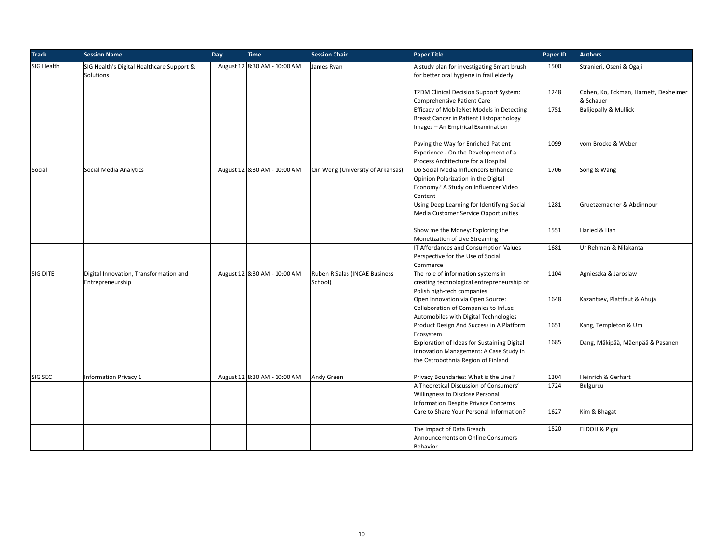| <b>Track</b> | <b>Session Name</b>                                        | Day | <b>Time</b>                  | <b>Session Chair</b>                     | <b>Paper Title</b>                                                                                                            | Paper ID | <b>Authors</b>                                     |
|--------------|------------------------------------------------------------|-----|------------------------------|------------------------------------------|-------------------------------------------------------------------------------------------------------------------------------|----------|----------------------------------------------------|
| SIG Health   | SIG Health's Digital Healthcare Support &<br>Solutions     |     | August 12 8:30 AM - 10:00 AM | James Ryan                               | A study plan for investigating Smart brush<br>for better oral hygiene in frail elderly                                        | 1500     | Stranieri, Oseni & Ogaji                           |
|              |                                                            |     |                              |                                          | T2DM Clinical Decision Support System:<br><b>Comprehensive Patient Care</b>                                                   | 1248     | Cohen, Ko, Eckman, Harnett, Dexheimer<br>& Schauer |
|              |                                                            |     |                              |                                          | Efficacy of MobileNet Models in Detecting<br>Breast Cancer in Patient Histopathology<br>Images - An Empirical Examination     | 1751     | <b>Balijepally &amp; Mullick</b>                   |
|              |                                                            |     |                              |                                          | Paving the Way for Enriched Patient<br>Experience - On the Development of a<br>Process Architecture for a Hospital            | 1099     | vom Brocke & Weber                                 |
| Social       | Social Media Analytics                                     |     | August 12 8:30 AM - 10:00 AM | Qin Weng (University of Arkansas)        | Do Social Media Influencers Enhance<br>Opinion Polarization in the Digital<br>Economy? A Study on Influencer Video<br>Content | 1706     | Song & Wang                                        |
|              |                                                            |     |                              |                                          | Using Deep Learning for Identifying Social<br>Media Customer Service Opportunities                                            | 1281     | Gruetzemacher & Abdinnour                          |
|              |                                                            |     |                              |                                          | Show me the Money: Exploring the<br>Monetization of Live Streaming                                                            | 1551     | Haried & Han                                       |
|              |                                                            |     |                              |                                          | IT Affordances and Consumption Values<br>Perspective for the Use of Social<br>Commerce                                        | 1681     | Ur Rehman & Nilakanta                              |
| SIG DITE     | Digital Innovation, Transformation and<br>Entrepreneurship |     | August 12 8:30 AM - 10:00 AM | Ruben R Salas (INCAE Business<br>School) | The role of information systems in<br>creating technological entrepreneurship of<br>Polish high-tech companies                | 1104     | Agnieszka & Jaroslaw                               |
|              |                                                            |     |                              |                                          | Open Innovation via Open Source:<br>Collaboration of Companies to Infuse<br>Automobiles with Digital Technologies             | 1648     | Kazantsev, Plattfaut & Ahuja                       |
|              |                                                            |     |                              |                                          | Product Design And Success in A Platform<br>Ecosystem                                                                         | 1651     | Kang, Templeton & Um                               |
|              |                                                            |     |                              |                                          | Exploration of Ideas for Sustaining Digital<br>Innovation Management: A Case Study in<br>the Ostrobothnia Region of Finland   | 1685     | Dang, Mäkipää, Mäenpää & Pasanen                   |
| SIG SEC      | <b>Information Privacy 1</b>                               |     | August 12 8:30 AM - 10:00 AM | Andy Green                               | Privacy Boundaries: What is the Line?                                                                                         | 1304     | Heinrich & Gerhart                                 |
|              |                                                            |     |                              |                                          | A Theoretical Discussion of Consumers'<br>Willingness to Disclose Personal<br><b>Information Despite Privacy Concerns</b>     | 1724     | <b>Bulgurcu</b>                                    |
|              |                                                            |     |                              |                                          | Care to Share Your Personal Information?                                                                                      | 1627     | Kim & Bhagat                                       |
|              |                                                            |     |                              |                                          | The Impact of Data Breach<br>Announcements on Online Consumers<br>Behavior                                                    | 1520     | ELDOH & Pigni                                      |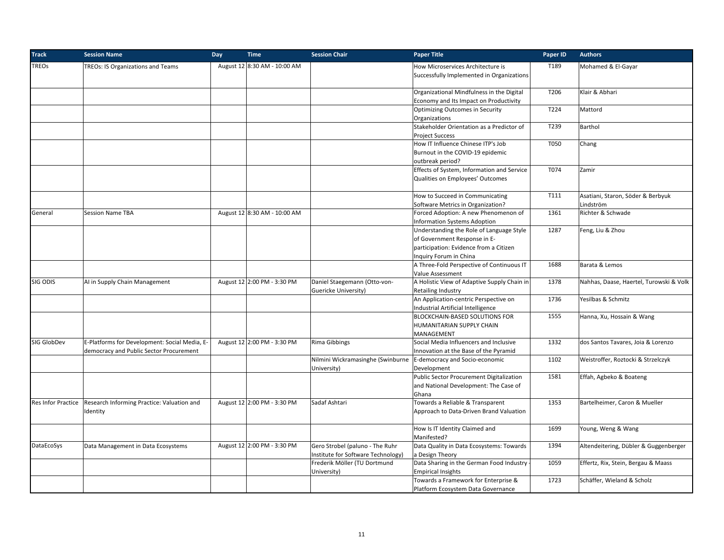| <b>Track</b>       | <b>Session Name</b>                                                                      | Day | <b>Time</b>                  | <b>Session Chair</b>                                                  | <b>Paper Title</b>                                                                                                                           | Paper ID | <b>Authors</b>                                 |
|--------------------|------------------------------------------------------------------------------------------|-----|------------------------------|-----------------------------------------------------------------------|----------------------------------------------------------------------------------------------------------------------------------------------|----------|------------------------------------------------|
| <b>TREOs</b>       | TREOs: IS Organizations and Teams                                                        |     | August 12 8:30 AM - 10:00 AM |                                                                       | How Microservices Architecture is<br>Successfully Implemented in Organizations                                                               | T189     | Mohamed & El-Gayar                             |
|                    |                                                                                          |     |                              |                                                                       | Organizational Mindfulness in the Digital<br>Economy and Its Impact on Productivity                                                          | T206     | Klair & Abhari                                 |
|                    |                                                                                          |     |                              |                                                                       | <b>Optimizing Outcomes in Security</b><br>Organizations                                                                                      | T224     | Mattord                                        |
|                    |                                                                                          |     |                              |                                                                       | Stakeholder Orientation as a Predictor of<br><b>Project Success</b>                                                                          | T239     | Barthol                                        |
|                    |                                                                                          |     |                              |                                                                       | How IT Influence Chinese ITP's Job<br>Burnout in the COVID-19 epidemic<br>outbreak period?                                                   | T050     | Chang                                          |
|                    |                                                                                          |     |                              |                                                                       | Effects of System, Information and Service<br>Qualities on Employees' Outcomes                                                               | T074     | Zamir                                          |
|                    |                                                                                          |     |                              |                                                                       | How to Succeed in Communicating<br>Software Metrics in Organization?                                                                         | T111     | Asatiani, Staron, Söder & Berbyuk<br>Lindström |
| General            | <b>Session Name TBA</b>                                                                  |     | August 12 8:30 AM - 10:00 AM |                                                                       | Forced Adoption: A new Phenomenon of<br><b>Information Systems Adoption</b>                                                                  | 1361     | Richter & Schwade                              |
|                    |                                                                                          |     |                              |                                                                       | Understanding the Role of Language Style<br>of Government Response in E-<br>participation: Evidence from a Citizen<br>Inquiry Forum in China | 1287     | Feng, Liu & Zhou                               |
|                    |                                                                                          |     |                              |                                                                       | A Three-Fold Perspective of Continuous IT<br>Value Assessment                                                                                | 1688     | Barata & Lemos                                 |
| SIG ODIS           | AI in Supply Chain Management                                                            |     | August 12 2:00 PM - 3:30 PM  | Daniel Staegemann (Otto-von-<br>Guericke University)                  | A Holistic View of Adaptive Supply Chain in<br><b>Retailing Industry</b>                                                                     | 1378     | Nahhas, Daase, Haertel, Turowski & Volk        |
|                    |                                                                                          |     |                              |                                                                       | An Application-centric Perspective on<br>Industrial Artificial Intelligence                                                                  | 1736     | Yesilbas & Schmitz                             |
|                    |                                                                                          |     |                              |                                                                       | BLOCKCHAIN-BASED SOLUTIONS FOR<br>HUMANITARIAN SUPPLY CHAIN<br>MANAGEMENT                                                                    | 1555     | Hanna, Xu, Hossain & Wang                      |
| SIG GlobDev        | E-Platforms for Development: Social Media, E-<br>democracy and Public Sector Procurement |     | August 12 2:00 PM - 3:30 PM  | Rima Gibbings                                                         | Social Media Influencers and Inclusive<br>Innovation at the Base of the Pyramid                                                              | 1332     | dos Santos Tavares, Joia & Lorenzo             |
|                    |                                                                                          |     |                              | Nilmini Wickramasinghe (Swinburne<br>University)                      | E-democracy and Socio-economic<br>Development                                                                                                | 1102     | Weistroffer, Roztocki & Strzelczyk             |
|                    |                                                                                          |     |                              |                                                                       | Public Sector Procurement Digitalization<br>and National Development: The Case of<br>Ghana                                                   | 1581     | Effah, Agbeko & Boateng                        |
| Res Infor Practice | Research Informing Practice: Valuation and<br>Identity                                   |     | August 12 2:00 PM - 3:30 PM  | Sadaf Ashtari                                                         | Towards a Reliable & Transparent<br>Approach to Data-Driven Brand Valuation                                                                  | 1353     | Bartelheimer, Caron & Mueller                  |
|                    |                                                                                          |     |                              |                                                                       | How Is IT Identity Claimed and<br>Manifested?                                                                                                | 1699     | Young, Weng & Wang                             |
| DataEcoSys         | Data Management in Data Ecosystems                                                       |     | August 12 2:00 PM - 3:30 PM  | Gero Strobel (paluno - The Ruhr<br>Institute for Software Technology) | Data Quality in Data Ecosystems: Towards<br>a Design Theory                                                                                  | 1394     | Altendeitering, Dübler & Guggenberger          |
|                    |                                                                                          |     |                              | Frederik Möller (TU Dortmund<br>University)                           | Data Sharing in the German Food Industry<br><b>Empirical Insights</b>                                                                        | 1059     | Effertz, Rix, Stein, Bergau & Maass            |
|                    |                                                                                          |     |                              |                                                                       | Towards a Framework for Enterprise &<br>Platform Ecosystem Data Governance                                                                   | 1723     | Schäffer, Wieland & Scholz                     |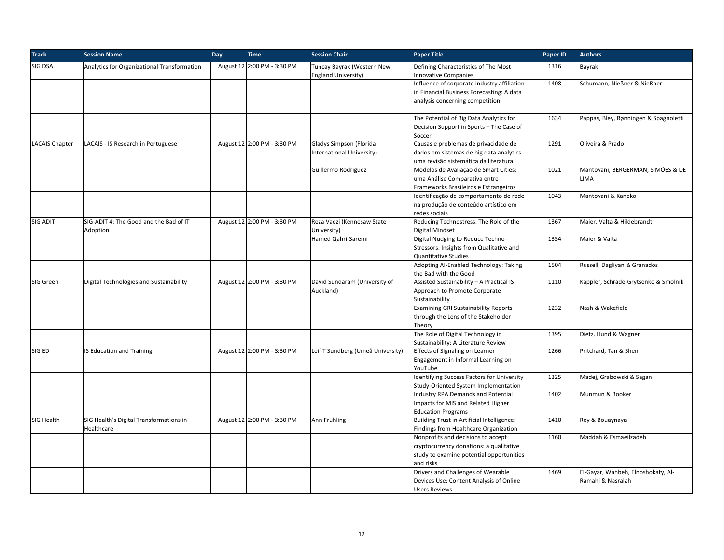| <b>Track</b>          | <b>Session Name</b>                                   | Day | <b>Time</b>                 | <b>Session Chair</b>                                     | <b>Paper Title</b>                                                                                                                     | Paper ID | <b>Authors</b>                                          |
|-----------------------|-------------------------------------------------------|-----|-----------------------------|----------------------------------------------------------|----------------------------------------------------------------------------------------------------------------------------------------|----------|---------------------------------------------------------|
| SIG DSA               | Analytics for Organizational Transformation           |     | August 12 2:00 PM - 3:30 PM | Tuncay Bayrak (Western New<br><b>England University)</b> | Defining Characteristics of The Most<br><b>Innovative Companies</b>                                                                    | 1316     | Bayrak                                                  |
|                       |                                                       |     |                             |                                                          | Influence of corporate industry affiliation<br>in Financial Business Forecasting: A data<br>analysis concerning competition            | 1408     | Schumann, Nießner & Nießner                             |
|                       |                                                       |     |                             |                                                          | The Potential of Big Data Analytics for<br>Decision Support in Sports - The Case of<br>Soccer                                          | 1634     | Pappas, Bley, Rønningen & Spagnoletti                   |
| <b>LACAIS Chapter</b> | LACAIS - IS Research in Portuguese                    |     | August 12 2:00 PM - 3:30 PM | Gladys Simpson (Florida<br>International University)     | Causas e problemas de privacidade de<br>dados em sistemas de big data analytics:<br>uma revisão sistemática da literatura              | 1291     | Oliveira & Prado                                        |
|                       |                                                       |     |                             | Guillermo Rodriguez                                      | Modelos de Avaliação de Smart Cities:<br>uma Análise Comparativa entre<br>Frameworks Brasileiros e Estrangeiros                        | 1021     | Mantovani, BERGERMAN, SIMÕES & DE<br><b>LIMA</b>        |
|                       |                                                       |     |                             |                                                          | Identificação de comportamento de rede<br>na produção de conteúdo artístico em<br>redes sociais                                        | 1043     | Mantovani & Kaneko                                      |
| SIG ADIT              | SIG-ADIT 4: The Good and the Bad of IT<br>Adoption    |     | August 12 2:00 PM - 3:30 PM | Reza Vaezi (Kennesaw State<br>University)                | Reducing Technostress: The Role of the<br>Digital Mindset                                                                              | 1367     | Maier, Valta & Hildebrandt                              |
|                       |                                                       |     |                             | Hamed Qahri-Saremi                                       | Digital Nudging to Reduce Techno-<br>Stressors: Insights from Qualitative and<br>Quantitative Studies                                  | 1354     | Maier & Valta                                           |
|                       |                                                       |     |                             |                                                          | Adopting Al-Enabled Technology: Taking<br>the Bad with the Good                                                                        | 1504     | Russell, Dagliyan & Granados                            |
| SIG Green             | Digital Technologies and Sustainability               |     | August 12 2:00 PM - 3:30 PM | David Sundaram (University of<br>Auckland)               | Assisted Sustainability - A Practical IS<br>Approach to Promote Corporate<br>Sustainability                                            | 1110     | Kappler, Schrade-Grytsenko & Smolnik                    |
|                       |                                                       |     |                             |                                                          | <b>Examining GRI Sustainability Reports</b><br>through the Lens of the Stakeholder<br>Theory                                           | 1232     | Nash & Wakefield                                        |
|                       |                                                       |     |                             |                                                          | The Role of Digital Technology in<br>Sustainability: A Literature Review                                                               | 1395     | Dietz, Hund & Wagner                                    |
| SIG ED                | IS Education and Training                             |     | August 12 2:00 PM - 3:30 PM | Leif T Sundberg (Umeå University)                        | Effects of Signaling on Learner<br>Engagement in Informal Learning on<br>YouTube                                                       | 1266     | Pritchard, Tan & Shen                                   |
|                       |                                                       |     |                             |                                                          | <b>Identifying Success Factors for University</b><br>Study-Oriented System Implementation                                              | 1325     | Madej, Grabowski & Sagan                                |
|                       |                                                       |     |                             |                                                          | <b>Industry RPA Demands and Potential</b><br>Impacts for MIS and Related Higher<br><b>Education Programs</b>                           | 1402     | Munmun & Booker                                         |
| SIG Health            | SIG Health's Digital Transformations in<br>Healthcare |     | August 12 2:00 PM - 3:30 PM | Ann Fruhling                                             | Building Trust in Artificial Intelligence:<br>Findings from Healthcare Organization                                                    | 1410     | Rey & Bouaynaya                                         |
|                       |                                                       |     |                             |                                                          | Nonprofits and decisions to accept<br>cryptocurrency donations: a qualitative<br>study to examine potential opportunities<br>and risks | 1160     | Maddah & Esmaeilzadeh                                   |
|                       |                                                       |     |                             |                                                          | Drivers and Challenges of Wearable<br>Devices Use: Content Analysis of Online<br><b>Users Reviews</b>                                  | 1469     | El-Gayar, Wahbeh, Elnoshokaty, Al-<br>Ramahi & Nasralah |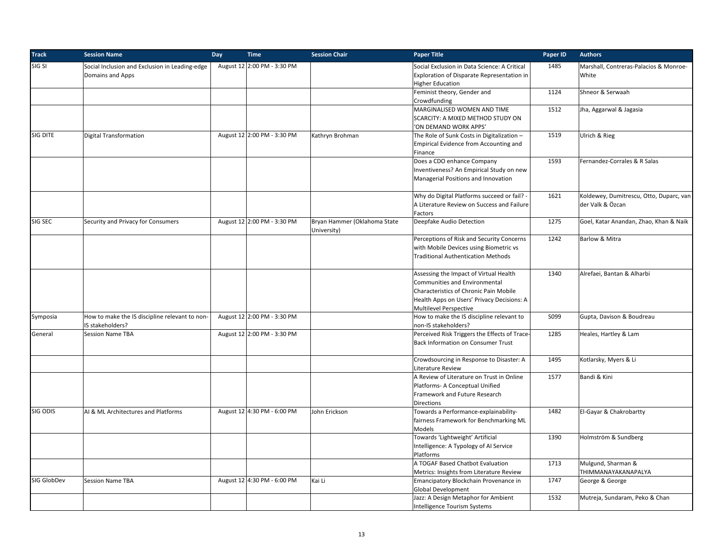| <b>Track</b> | <b>Session Name</b>                                                | <b>Day</b> | <b>Time</b>                 | <b>Session Chair</b>                        | <b>Paper Title</b>                                                                                                                                                                               | Paper ID | <b>Authors</b>                                              |
|--------------|--------------------------------------------------------------------|------------|-----------------------------|---------------------------------------------|--------------------------------------------------------------------------------------------------------------------------------------------------------------------------------------------------|----------|-------------------------------------------------------------|
| SIG SI       | Social Inclusion and Exclusion in Leading-edge<br>Domains and Apps |            | August 12 2:00 PM - 3:30 PM |                                             | Social Exclusion in Data Science: A Critical<br>Exploration of Disparate Representation in<br><b>Higher Education</b>                                                                            | 1485     | Marshall, Contreras-Palacios & Monroe-<br>White             |
|              |                                                                    |            |                             |                                             | Feminist theory, Gender and<br>Crowdfunding                                                                                                                                                      | 1124     | Shneor & Serwaah                                            |
|              |                                                                    |            |                             |                                             | MARGINALISED WOMEN AND TIME<br>SCARCITY: A MIXED METHOD STUDY ON<br>'ON DEMAND WORK APPS'                                                                                                        | 1512     | Jha, Aggarwal & Jagasia                                     |
| SIG DITE     | Digital Transformation                                             |            | August 12 2:00 PM - 3:30 PM | Kathryn Brohman                             | The Role of Sunk Costs in Digitalization -<br>Empirical Evidence from Accounting and<br>Finance                                                                                                  | 1519     | Ulrich & Rieg                                               |
|              |                                                                    |            |                             |                                             | Does a CDO enhance Company<br>Inventiveness? An Empirical Study on new<br>Managerial Positions and Innovation                                                                                    | 1593     | Fernandez-Corrales & R Salas                                |
|              |                                                                    |            |                             |                                             | Why do Digital Platforms succeed or fail? -<br>A Literature Review on Success and Failure<br>Factors                                                                                             | 1621     | Koldewey, Dumitrescu, Otto, Duparc, van<br>der Valk & Özcan |
| SIG SEC      | Security and Privacy for Consumers                                 |            | August 12 2:00 PM - 3:30 PM | Bryan Hammer (Oklahoma State<br>University) | Deepfake Audio Detection                                                                                                                                                                         | 1275     | Goel, Katar Anandan, Zhao, Khan & Naik                      |
|              |                                                                    |            |                             |                                             | Perceptions of Risk and Security Concerns<br>with Mobile Devices using Biometric vs<br><b>Traditional Authentication Methods</b>                                                                 | 1242     | Barlow & Mitra                                              |
|              |                                                                    |            |                             |                                             | Assessing the Impact of Virtual Health<br>Communities and Environmental<br>Characteristics of Chronic Pain Mobile<br>Health Apps on Users' Privacy Decisions: A<br><b>Multilevel Perspective</b> | 1340     | Alrefaei, Bantan & Alharbi                                  |
| Symposia     | How to make the IS discipline relevant to non-<br>IS stakeholders? |            | August 12 2:00 PM - 3:30 PM |                                             | How to make the IS discipline relevant to<br>non-IS stakeholders?                                                                                                                                | S099     | Gupta, Davison & Boudreau                                   |
| General      | <b>Session Name TBA</b>                                            |            | August 12 2:00 PM - 3:30 PM |                                             | Perceived Risk Triggers the Effects of Trace-<br><b>Back Information on Consumer Trust</b>                                                                                                       | 1285     | Heales, Hartley & Lam                                       |
|              |                                                                    |            |                             |                                             | Crowdsourcing in Response to Disaster: A<br>Literature Review                                                                                                                                    | 1495     | Kotlarsky, Myers & Li                                       |
|              |                                                                    |            |                             |                                             | A Review of Literature on Trust in Online<br>Platforms- A Conceptual Unified<br>Framework and Future Research<br><b>Directions</b>                                                               | 1577     | Bandi & Kini                                                |
| SIG ODIS     | AI & ML Architectures and Platforms                                |            | August 12 4:30 PM - 6:00 PM | John Erickson                               | Towards a Performance-explainability-<br>fairness Framework for Benchmarking ML<br>Models                                                                                                        | 1482     | El-Gayar & Chakrobartty                                     |
|              |                                                                    |            |                             |                                             | Towards 'Lightweight' Artificial<br>Intelligence: A Typology of AI Service<br>Platforms                                                                                                          | 1390     | Holmström & Sundberg                                        |
|              |                                                                    |            |                             |                                             | A TOGAF Based Chatbot Evaluation<br>Metrics: Insights from Literature Review                                                                                                                     | 1713     | Mulgund, Sharman &<br>THIMMANAYAKANAPALYA                   |
| SIG GlobDev  | <b>Session Name TBA</b>                                            |            | August 12 4:30 PM - 6:00 PM | Kai Li                                      | Emancipatory Blockchain Provenance in<br><b>Global Development</b>                                                                                                                               | 1747     | George & George                                             |
|              |                                                                    |            |                             |                                             | Jazz: A Design Metaphor for Ambient<br>Intelligence Tourism Systems                                                                                                                              | 1532     | Mutreja, Sundaram, Peko & Chan                              |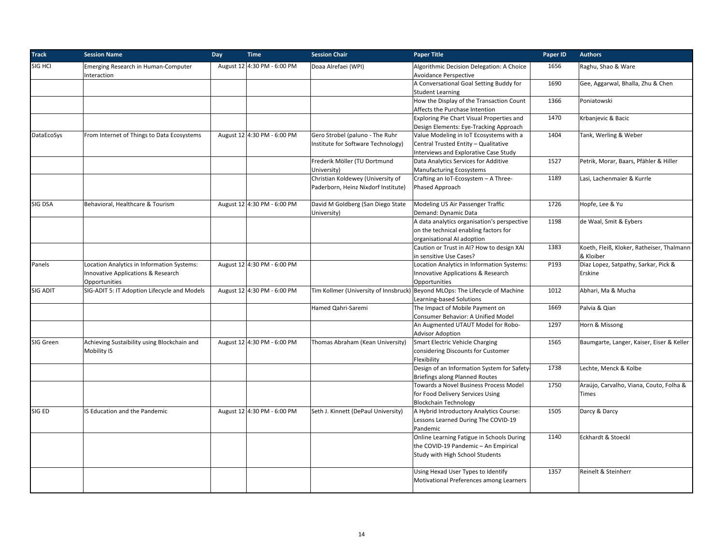| <b>Track</b> | <b>Session Name</b>                                                                                          | Day<br><b>Time</b>          | <b>Session Chair</b>                                                     | <b>Paper Title</b>                                                                                                       | Paper ID | <b>Authors</b>                                         |
|--------------|--------------------------------------------------------------------------------------------------------------|-----------------------------|--------------------------------------------------------------------------|--------------------------------------------------------------------------------------------------------------------------|----------|--------------------------------------------------------|
| SIG HCI      | Emerging Research in Human-Computer<br>Interaction                                                           | August 12 4:30 PM - 6:00 PM | Doaa Alrefaei (WPI)                                                      | Algorithmic Decision Delegation: A Choice<br>Avoidance Perspective                                                       | 1656     | Raghu, Shao & Ware                                     |
|              |                                                                                                              |                             |                                                                          | A Conversational Goal Setting Buddy for<br><b>Student Learning</b>                                                       | 1690     | Gee, Aggarwal, Bhalla, Zhu & Chen                      |
|              |                                                                                                              |                             |                                                                          | How the Display of the Transaction Count<br>Affects the Purchase Intention                                               | 1366     | Poniatowski                                            |
|              |                                                                                                              |                             |                                                                          | Exploring Pie Chart Visual Properties and<br>Design Elements: Eye-Tracking Approach                                      | 1470     | Krbanjevic & Bacic                                     |
| DataEcoSys   | From Internet of Things to Data Ecosystems                                                                   | August 12 4:30 PM - 6:00 PM | Gero Strobel (paluno - The Ruhr<br>Institute for Software Technology)    | Value Modeling in IoT Ecosystems with a<br>Central Trusted Entity - Qualitative<br>Interviews and Explorative Case Study | 1404     | Tank, Werling & Weber                                  |
|              |                                                                                                              |                             | Frederik Möller (TU Dortmund<br>University)                              | Data Analytics Services for Additive<br><b>Manufacturing Ecosystems</b>                                                  | 1527     | Petrik, Morar, Baars, Pfähler & Hiller                 |
|              |                                                                                                              |                             | Christian Koldewey (University of<br>Paderborn, Heinz Nixdorf Institute) | Crafting an IoT-Ecosystem - A Three-<br>Phased Approach                                                                  | 1189     | Lasi, Lachenmaier & Kurrle                             |
| SIG DSA      | Behavioral, Healthcare & Tourism                                                                             | August 12 4:30 PM - 6:00 PM | David M Goldberg (San Diego State<br>University)                         | Modeling US Air Passenger Traffic<br>Demand: Dynamic Data                                                                | 1726     | Hopfe, Lee & Yu                                        |
|              |                                                                                                              |                             |                                                                          | A data analytics organisation's perspective<br>on the technical enabling factors for<br>organisational AI adoption       | 1198     | de Waal, Smit & Eybers                                 |
|              |                                                                                                              |                             |                                                                          | Caution or Trust in AI? How to design XAI<br>in sensitive Use Cases?                                                     | 1383     | Koeth, Fleiß, Kloker, Ratheiser, Thalmann<br>& Kloiber |
| Panels       | Location Analytics in Information Systems:<br><b>Innovative Applications &amp; Research</b><br>Opportunities | August 12 4:30 PM - 6:00 PM |                                                                          | Location Analytics in Information Systems:<br>Innovative Applications & Research<br>Opportunities                        | P193     | Diaz Lopez, Satpathy, Sarkar, Pick &<br>Erskine        |
| SIG ADIT     | SIG-ADIT 5: IT Adoption Lifecycle and Models                                                                 | August 12 4:30 PM - 6:00 PM |                                                                          | Tim Kollmer (University of Innsbruck) Beyond MLOps: The Lifecycle of Machine<br>Learning-based Solutions                 | 1012     | Abhari, Ma & Mucha                                     |
|              |                                                                                                              |                             | Hamed Qahri-Saremi                                                       | The Impact of Mobile Payment on<br>Consumer Behavior: A Unified Model                                                    | 1669     | Palvia & Qian                                          |
|              |                                                                                                              |                             |                                                                          | An Augmented UTAUT Model for Robo-<br><b>Advisor Adoption</b>                                                            | 1297     | Horn & Missong                                         |
| SIG Green    | Achieving Sustaibility using Blockchain and<br>Mobility IS                                                   | August 12 4:30 PM - 6:00 PM | Thomas Abraham (Kean University)                                         | <b>Smart Electric Vehicle Charging</b><br>considering Discounts for Customer<br>Flexibility                              | 1565     | Baumgarte, Langer, Kaiser, Eiser & Keller              |
|              |                                                                                                              |                             |                                                                          | Design of an Information System for Safety-<br><b>Briefings along Planned Routes</b>                                     | 1738     | Lechte, Menck & Kolbe                                  |
|              |                                                                                                              |                             |                                                                          | Towards a Novel Business Process Model<br>for Food Delivery Services Using<br><b>Blockchain Technology</b>               | 1750     | Araújo, Carvalho, Viana, Couto, Folha &<br>Times       |
| SIG ED       | IS Education and the Pandemic                                                                                | August 12 4:30 PM - 6:00 PM | Seth J. Kinnett (DePaul University)                                      | A Hybrid Introductory Analytics Course:<br>Lessons Learned During The COVID-19<br>Pandemic                               | 1505     | Darcy & Darcy                                          |
|              |                                                                                                              |                             |                                                                          | Online Learning Fatigue in Schools During<br>the COVID-19 Pandemic - An Empirical<br>Study with High School Students     | 1140     | Eckhardt & Stoeckl                                     |
|              |                                                                                                              |                             |                                                                          | Using Hexad User Types to Identify<br>Motivational Preferences among Learners                                            | 1357     | Reinelt & Steinherr                                    |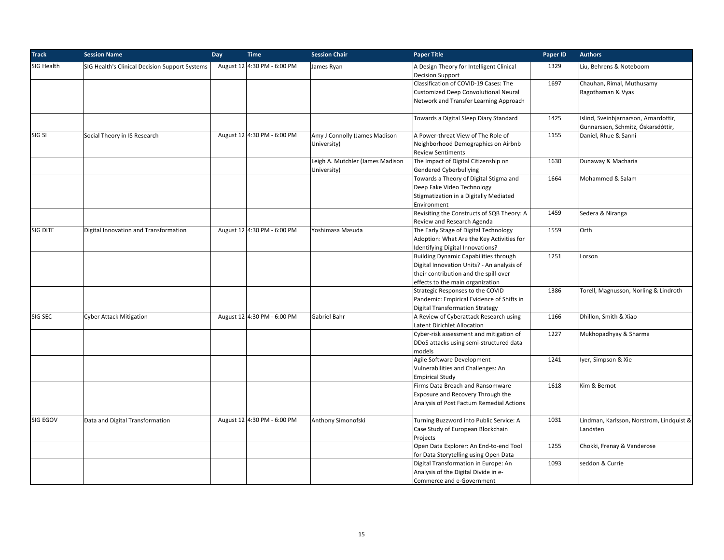| <b>Track</b> | <b>Session Name</b>                            | Day | <b>Time</b>                 | <b>Session Chair</b>                            | <b>Paper Title</b>                                                    | Paper ID | <b>Authors</b>                                             |
|--------------|------------------------------------------------|-----|-----------------------------|-------------------------------------------------|-----------------------------------------------------------------------|----------|------------------------------------------------------------|
| SIG Health   | SIG Health's Clinical Decision Support Systems |     | August 12 4:30 PM - 6:00 PM | James Ryan                                      | A Design Theory for Intelligent Clinical<br><b>Decision Support</b>   | 1329     | Liu, Behrens & Noteboom                                    |
|              |                                                |     |                             |                                                 | Classification of COVID-19 Cases: The                                 | 1697     | Chauhan, Rimal, Muthusamy                                  |
|              |                                                |     |                             |                                                 | Customized Deep Convolutional Neural                                  |          | Ragothaman & Vyas                                          |
|              |                                                |     |                             |                                                 | Network and Transfer Learning Approach                                |          |                                                            |
|              |                                                |     |                             |                                                 | Towards a Digital Sleep Diary Standard                                | 1425     | Islind, Sveinbjarnarson, Arnardottir,                      |
| SIG SI       |                                                |     |                             | Amy J Connolly (James Madison                   | A Power-threat View of The Role of                                    | 1155     | Gunnarsson, Schmitz, Óskarsdóttir,<br>Daniel, Rhue & Sanni |
|              | Social Theory in IS Research                   |     | August 12 4:30 PM - 6:00 PM |                                                 |                                                                       |          |                                                            |
|              |                                                |     |                             | University)                                     | Neighborhood Demographics on Airbnb<br><b>Review Sentiments</b>       |          |                                                            |
|              |                                                |     |                             | Leigh A. Mutchler (James Madison<br>University) | The Impact of Digital Citizenship on<br><b>Gendered Cyberbullying</b> | 1630     | Dunaway & Macharia                                         |
|              |                                                |     |                             |                                                 | Towards a Theory of Digital Stigma and                                | 1664     | Mohammed & Salam                                           |
|              |                                                |     |                             |                                                 | Deep Fake Video Technology                                            |          |                                                            |
|              |                                                |     |                             |                                                 | Stigmatization in a Digitally Mediated                                |          |                                                            |
|              |                                                |     |                             |                                                 | Environment                                                           |          |                                                            |
|              |                                                |     |                             |                                                 | Revisiting the Constructs of SQB Theory: A                            | 1459     | Sedera & Niranga                                           |
|              |                                                |     |                             |                                                 | Review and Research Agenda                                            |          |                                                            |
| SIG DITE     | Digital Innovation and Transformation          |     | August 12 4:30 PM - 6:00 PM | Yoshimasa Masuda                                | The Early Stage of Digital Technology                                 | 1559     | Orth                                                       |
|              |                                                |     |                             |                                                 | Adoption: What Are the Key Activities for                             |          |                                                            |
|              |                                                |     |                             |                                                 | Identifying Digital Innovations?                                      |          |                                                            |
|              |                                                |     |                             |                                                 | <b>Building Dynamic Capabilities through</b>                          | 1251     | Lorson                                                     |
|              |                                                |     |                             |                                                 | Digital Innovation Units? - An analysis of                            |          |                                                            |
|              |                                                |     |                             |                                                 | their contribution and the spill-over                                 |          |                                                            |
|              |                                                |     |                             |                                                 | effects to the main organization                                      |          |                                                            |
|              |                                                |     |                             |                                                 | Strategic Responses to the COVID                                      | 1386     | Torell, Magnusson, Norling & Lindroth                      |
|              |                                                |     |                             |                                                 | Pandemic: Empirical Evidence of Shifts in                             |          |                                                            |
|              |                                                |     |                             |                                                 | <b>Digital Transformation Strategy</b>                                |          |                                                            |
| SIG SEC      | <b>Cyber Attack Mitigation</b>                 |     | August 12 4:30 PM - 6:00 PM | Gabriel Bahr                                    | A Review of Cyberattack Research using                                | 1166     | Dhillon, Smith & Xiao                                      |
|              |                                                |     |                             |                                                 | Latent Dirichlet Allocation                                           |          |                                                            |
|              |                                                |     |                             |                                                 | Cyber-risk assessment and mitigation of                               | 1227     | Mukhopadhyay & Sharma                                      |
|              |                                                |     |                             |                                                 | DDoS attacks using semi-structured data                               |          |                                                            |
|              |                                                |     |                             |                                                 | models                                                                |          |                                                            |
|              |                                                |     |                             |                                                 | Agile Software Development                                            | 1241     | Iyer, Simpson & Xie                                        |
|              |                                                |     |                             |                                                 | Vulnerabilities and Challenges: An                                    |          |                                                            |
|              |                                                |     |                             |                                                 | <b>Empirical Study</b>                                                |          |                                                            |
|              |                                                |     |                             |                                                 | Firms Data Breach and Ransomware                                      | 1618     | Kim & Bernot                                               |
|              |                                                |     |                             |                                                 | Exposure and Recovery Through the                                     |          |                                                            |
|              |                                                |     |                             |                                                 | Analysis of Post Factum Remedial Actions                              |          |                                                            |
| SIG EGOV     | Data and Digital Transformation                |     | August 12 4:30 PM - 6:00 PM | Anthony Simonofski                              | Turning Buzzword into Public Service: A                               | 1031     | Lindman, Karlsson, Norstrom, Lindquist &                   |
|              |                                                |     |                             |                                                 | Case Study of European Blockchain                                     |          | Landsten                                                   |
|              |                                                |     |                             |                                                 | Projects                                                              |          |                                                            |
|              |                                                |     |                             |                                                 | Open Data Explorer: An End-to-end Tool                                | 1255     | Chokki, Frenay & Vanderose                                 |
|              |                                                |     |                             |                                                 | for Data Storytelling using Open Data                                 |          |                                                            |
|              |                                                |     |                             |                                                 | Digital Transformation in Europe: An                                  | 1093     | seddon & Currie                                            |
|              |                                                |     |                             |                                                 | Analysis of the Digital Divide in e-                                  |          |                                                            |
|              |                                                |     |                             |                                                 | Commerce and e-Government                                             |          |                                                            |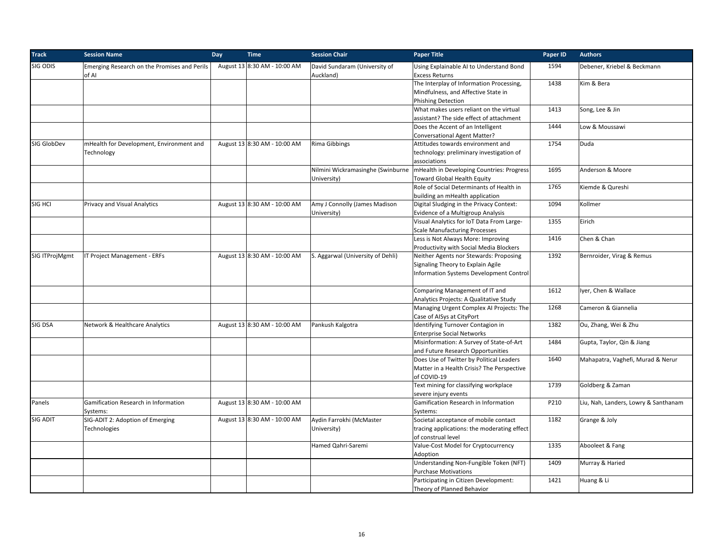| SIG ODIS<br>August 13 8:30 AM - 10:00 AM<br>David Sundaram (University of<br>Using Explainable AI to Understand Bond<br>Emerging Research on the Promises and Perils<br>1594<br>Auckland)<br><b>Excess Returns</b><br>of AI<br>1438<br>The Interplay of Information Processing,<br>Mindfulness, and Affective State in<br><b>Phishing Detection</b><br>1413<br>What makes users reliant on the virtual<br>assistant? The side effect of attachment<br>Does the Accent of an Intelligent<br>1444<br><b>Conversational Agent Matter?</b><br>Rima Gibbings<br>1754<br>SIG GlobDev<br>mHealth for Development, Environment and<br>August 13 8:30 AM - 10:00 AM<br>Attitudes towards environment and<br>Duda<br>Technology<br>technology: preliminary investigation of<br>associations<br>Nilmini Wickramasinghe (Swinburne<br>mHealth in Developing Countries: Progress<br>1695<br>University)<br><b>Toward Global Health Equity</b><br>Role of Social Determinants of Health in<br>1765<br>building an mHealth application<br>Amy J Connolly (James Madison<br>1094<br>SIG HCI<br>Privacy and Visual Analytics<br>August 13 8:30 AM - 10:00 AM<br>Digital Sludging in the Privacy Context: | Debener, Kriebel & Beckmann<br>Kim & Bera<br>Song, Lee & Jin<br>Low & Moussawi<br>Anderson & Moore<br>Kiemde & Qureshi |
|-----------------------------------------------------------------------------------------------------------------------------------------------------------------------------------------------------------------------------------------------------------------------------------------------------------------------------------------------------------------------------------------------------------------------------------------------------------------------------------------------------------------------------------------------------------------------------------------------------------------------------------------------------------------------------------------------------------------------------------------------------------------------------------------------------------------------------------------------------------------------------------------------------------------------------------------------------------------------------------------------------------------------------------------------------------------------------------------------------------------------------------------------------------------------------------------|------------------------------------------------------------------------------------------------------------------------|
|                                                                                                                                                                                                                                                                                                                                                                                                                                                                                                                                                                                                                                                                                                                                                                                                                                                                                                                                                                                                                                                                                                                                                                                         |                                                                                                                        |
|                                                                                                                                                                                                                                                                                                                                                                                                                                                                                                                                                                                                                                                                                                                                                                                                                                                                                                                                                                                                                                                                                                                                                                                         |                                                                                                                        |
|                                                                                                                                                                                                                                                                                                                                                                                                                                                                                                                                                                                                                                                                                                                                                                                                                                                                                                                                                                                                                                                                                                                                                                                         |                                                                                                                        |
|                                                                                                                                                                                                                                                                                                                                                                                                                                                                                                                                                                                                                                                                                                                                                                                                                                                                                                                                                                                                                                                                                                                                                                                         |                                                                                                                        |
|                                                                                                                                                                                                                                                                                                                                                                                                                                                                                                                                                                                                                                                                                                                                                                                                                                                                                                                                                                                                                                                                                                                                                                                         |                                                                                                                        |
|                                                                                                                                                                                                                                                                                                                                                                                                                                                                                                                                                                                                                                                                                                                                                                                                                                                                                                                                                                                                                                                                                                                                                                                         |                                                                                                                        |
|                                                                                                                                                                                                                                                                                                                                                                                                                                                                                                                                                                                                                                                                                                                                                                                                                                                                                                                                                                                                                                                                                                                                                                                         |                                                                                                                        |
|                                                                                                                                                                                                                                                                                                                                                                                                                                                                                                                                                                                                                                                                                                                                                                                                                                                                                                                                                                                                                                                                                                                                                                                         |                                                                                                                        |
|                                                                                                                                                                                                                                                                                                                                                                                                                                                                                                                                                                                                                                                                                                                                                                                                                                                                                                                                                                                                                                                                                                                                                                                         |                                                                                                                        |
|                                                                                                                                                                                                                                                                                                                                                                                                                                                                                                                                                                                                                                                                                                                                                                                                                                                                                                                                                                                                                                                                                                                                                                                         |                                                                                                                        |
|                                                                                                                                                                                                                                                                                                                                                                                                                                                                                                                                                                                                                                                                                                                                                                                                                                                                                                                                                                                                                                                                                                                                                                                         |                                                                                                                        |
|                                                                                                                                                                                                                                                                                                                                                                                                                                                                                                                                                                                                                                                                                                                                                                                                                                                                                                                                                                                                                                                                                                                                                                                         |                                                                                                                        |
|                                                                                                                                                                                                                                                                                                                                                                                                                                                                                                                                                                                                                                                                                                                                                                                                                                                                                                                                                                                                                                                                                                                                                                                         |                                                                                                                        |
|                                                                                                                                                                                                                                                                                                                                                                                                                                                                                                                                                                                                                                                                                                                                                                                                                                                                                                                                                                                                                                                                                                                                                                                         |                                                                                                                        |
|                                                                                                                                                                                                                                                                                                                                                                                                                                                                                                                                                                                                                                                                                                                                                                                                                                                                                                                                                                                                                                                                                                                                                                                         | Kollmer                                                                                                                |
| University)<br>Evidence of a Multigroup Analysis                                                                                                                                                                                                                                                                                                                                                                                                                                                                                                                                                                                                                                                                                                                                                                                                                                                                                                                                                                                                                                                                                                                                        |                                                                                                                        |
| Visual Analytics for IoT Data From Large-<br>1355<br>Eirich                                                                                                                                                                                                                                                                                                                                                                                                                                                                                                                                                                                                                                                                                                                                                                                                                                                                                                                                                                                                                                                                                                                             |                                                                                                                        |
| <b>Scale Manufacturing Processes</b>                                                                                                                                                                                                                                                                                                                                                                                                                                                                                                                                                                                                                                                                                                                                                                                                                                                                                                                                                                                                                                                                                                                                                    |                                                                                                                        |
| Less is Not Always More: Improving<br>1416                                                                                                                                                                                                                                                                                                                                                                                                                                                                                                                                                                                                                                                                                                                                                                                                                                                                                                                                                                                                                                                                                                                                              | Chen & Chan                                                                                                            |
| Productivity with Social Media Blockers                                                                                                                                                                                                                                                                                                                                                                                                                                                                                                                                                                                                                                                                                                                                                                                                                                                                                                                                                                                                                                                                                                                                                 |                                                                                                                        |
| IT Project Management - ERFs<br>SIG ITProjMgmt<br>August 13 8:30 AM - 10:00 AM<br>S. Aggarwal (University of Dehli)<br>Neither Agents nor Stewards: Proposing<br>1392                                                                                                                                                                                                                                                                                                                                                                                                                                                                                                                                                                                                                                                                                                                                                                                                                                                                                                                                                                                                                   | Bernroider, Virag & Remus                                                                                              |
| Signaling Theory to Explain Agile                                                                                                                                                                                                                                                                                                                                                                                                                                                                                                                                                                                                                                                                                                                                                                                                                                                                                                                                                                                                                                                                                                                                                       |                                                                                                                        |
| <b>Information Systems Development Control</b>                                                                                                                                                                                                                                                                                                                                                                                                                                                                                                                                                                                                                                                                                                                                                                                                                                                                                                                                                                                                                                                                                                                                          |                                                                                                                        |
|                                                                                                                                                                                                                                                                                                                                                                                                                                                                                                                                                                                                                                                                                                                                                                                                                                                                                                                                                                                                                                                                                                                                                                                         |                                                                                                                        |
| Comparing Management of IT and<br>1612                                                                                                                                                                                                                                                                                                                                                                                                                                                                                                                                                                                                                                                                                                                                                                                                                                                                                                                                                                                                                                                                                                                                                  | Iyer, Chen & Wallace                                                                                                   |
| Analytics Projects: A Qualitative Study                                                                                                                                                                                                                                                                                                                                                                                                                                                                                                                                                                                                                                                                                                                                                                                                                                                                                                                                                                                                                                                                                                                                                 |                                                                                                                        |
| Managing Urgent Complex AI Projects: The<br>1268                                                                                                                                                                                                                                                                                                                                                                                                                                                                                                                                                                                                                                                                                                                                                                                                                                                                                                                                                                                                                                                                                                                                        | Cameron & Giannelia                                                                                                    |
| Case of AISys at CityPort                                                                                                                                                                                                                                                                                                                                                                                                                                                                                                                                                                                                                                                                                                                                                                                                                                                                                                                                                                                                                                                                                                                                                               |                                                                                                                        |
| Identifying Turnover Contagion in<br>SIG DSA<br>Network & Healthcare Analytics<br>August 13 8:30 AM - 10:00 AM<br>Pankush Kalgotra<br>1382                                                                                                                                                                                                                                                                                                                                                                                                                                                                                                                                                                                                                                                                                                                                                                                                                                                                                                                                                                                                                                              | Ou, Zhang, Wei & Zhu                                                                                                   |
| <b>Enterprise Social Networks</b>                                                                                                                                                                                                                                                                                                                                                                                                                                                                                                                                                                                                                                                                                                                                                                                                                                                                                                                                                                                                                                                                                                                                                       |                                                                                                                        |
| 1484<br>Misinformation: A Survey of State-of-Art                                                                                                                                                                                                                                                                                                                                                                                                                                                                                                                                                                                                                                                                                                                                                                                                                                                                                                                                                                                                                                                                                                                                        | Gupta, Taylor, Qin & Jiang                                                                                             |
| and Future Research Opportunities                                                                                                                                                                                                                                                                                                                                                                                                                                                                                                                                                                                                                                                                                                                                                                                                                                                                                                                                                                                                                                                                                                                                                       |                                                                                                                        |
| Does Use of Twitter by Political Leaders<br>1640                                                                                                                                                                                                                                                                                                                                                                                                                                                                                                                                                                                                                                                                                                                                                                                                                                                                                                                                                                                                                                                                                                                                        | Mahapatra, Vaghefi, Murad & Nerur                                                                                      |
| Matter in a Health Crisis? The Perspective                                                                                                                                                                                                                                                                                                                                                                                                                                                                                                                                                                                                                                                                                                                                                                                                                                                                                                                                                                                                                                                                                                                                              |                                                                                                                        |
| of COVID-19                                                                                                                                                                                                                                                                                                                                                                                                                                                                                                                                                                                                                                                                                                                                                                                                                                                                                                                                                                                                                                                                                                                                                                             |                                                                                                                        |
| Text mining for classifying workplace<br>1739                                                                                                                                                                                                                                                                                                                                                                                                                                                                                                                                                                                                                                                                                                                                                                                                                                                                                                                                                                                                                                                                                                                                           | Goldberg & Zaman                                                                                                       |
| severe injury events                                                                                                                                                                                                                                                                                                                                                                                                                                                                                                                                                                                                                                                                                                                                                                                                                                                                                                                                                                                                                                                                                                                                                                    |                                                                                                                        |
| August 13 8:30 AM - 10:00 AM<br>Panels<br>Gamification Research in Information<br>Gamification Research in Information<br>P210                                                                                                                                                                                                                                                                                                                                                                                                                                                                                                                                                                                                                                                                                                                                                                                                                                                                                                                                                                                                                                                          | Liu, Nah, Landers, Lowry & Santhanam                                                                                   |
| Systems:<br>Systems:                                                                                                                                                                                                                                                                                                                                                                                                                                                                                                                                                                                                                                                                                                                                                                                                                                                                                                                                                                                                                                                                                                                                                                    |                                                                                                                        |
| SIG-ADIT 2: Adoption of Emerging<br>SIG ADIT<br>August 13 8:30 AM - 10:00 AM<br>Aydin Farrokhi (McMaster<br>Societal acceptance of mobile contact<br>1182                                                                                                                                                                                                                                                                                                                                                                                                                                                                                                                                                                                                                                                                                                                                                                                                                                                                                                                                                                                                                               | Grange & Joly                                                                                                          |
| Technologies<br>University)<br>tracing applications: the moderating effect                                                                                                                                                                                                                                                                                                                                                                                                                                                                                                                                                                                                                                                                                                                                                                                                                                                                                                                                                                                                                                                                                                              |                                                                                                                        |
| of construal level                                                                                                                                                                                                                                                                                                                                                                                                                                                                                                                                                                                                                                                                                                                                                                                                                                                                                                                                                                                                                                                                                                                                                                      |                                                                                                                        |
| Value-Cost Model for Cryptocurrency<br>1335<br>Hamed Qahri-Saremi                                                                                                                                                                                                                                                                                                                                                                                                                                                                                                                                                                                                                                                                                                                                                                                                                                                                                                                                                                                                                                                                                                                       | Abooleet & Fang                                                                                                        |
| Adoption                                                                                                                                                                                                                                                                                                                                                                                                                                                                                                                                                                                                                                                                                                                                                                                                                                                                                                                                                                                                                                                                                                                                                                                |                                                                                                                        |
| 1409<br>Understanding Non-Fungible Token (NFT)                                                                                                                                                                                                                                                                                                                                                                                                                                                                                                                                                                                                                                                                                                                                                                                                                                                                                                                                                                                                                                                                                                                                          | Murray & Haried                                                                                                        |
| <b>Purchase Motivations</b>                                                                                                                                                                                                                                                                                                                                                                                                                                                                                                                                                                                                                                                                                                                                                                                                                                                                                                                                                                                                                                                                                                                                                             |                                                                                                                        |
| Participating in Citizen Development:<br>1421                                                                                                                                                                                                                                                                                                                                                                                                                                                                                                                                                                                                                                                                                                                                                                                                                                                                                                                                                                                                                                                                                                                                           | Huang & Li                                                                                                             |
| Theory of Planned Behavior                                                                                                                                                                                                                                                                                                                                                                                                                                                                                                                                                                                                                                                                                                                                                                                                                                                                                                                                                                                                                                                                                                                                                              |                                                                                                                        |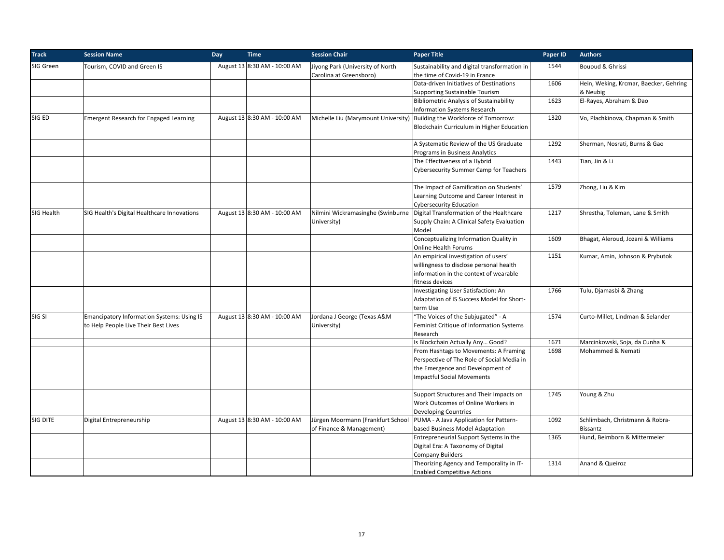| <b>Track</b> | <b>Session Name</b>                                                                | Day | <b>Time</b>                  | <b>Session Chair</b>                                        | <b>Paper Title</b>                                                                                                                                           | Paper ID | <b>Authors</b>                                     |
|--------------|------------------------------------------------------------------------------------|-----|------------------------------|-------------------------------------------------------------|--------------------------------------------------------------------------------------------------------------------------------------------------------------|----------|----------------------------------------------------|
| SIG Green    | Tourism, COVID and Green IS                                                        |     | August 13 8:30 AM - 10:00 AM | Jiyong Park (University of North<br>Carolina at Greensboro) | Sustainability and digital transformation in<br>the time of Covid-19 in France                                                                               | 1544     | Bououd & Ghrissi                                   |
|              |                                                                                    |     |                              |                                                             | Data-driven Initiatives of Destinations<br><b>Supporting Sustainable Tourism</b>                                                                             | 1606     | Hein, Weking, Krcmar, Baecker, Gehring<br>& Neubig |
|              |                                                                                    |     |                              |                                                             | <b>Bibliometric Analysis of Sustainability</b><br><b>Information Systems Research</b>                                                                        | 1623     | El-Rayes, Abraham & Dao                            |
| SIG ED       | <b>Emergent Research for Engaged Learning</b>                                      |     | August 13 8:30 AM - 10:00 AM |                                                             | Michelle Liu (Marymount University) Building the Workforce of Tomorrow:<br>Blockchain Curriculum in Higher Education                                         | 1320     | Vo, Plachkinova, Chapman & Smith                   |
|              |                                                                                    |     |                              |                                                             | A Systematic Review of the US Graduate<br>Programs in Business Analytics                                                                                     | 1292     | Sherman, Nosrati, Burns & Gao                      |
|              |                                                                                    |     |                              |                                                             | The Effectiveness of a Hybrid<br><b>Cybersecurity Summer Camp for Teachers</b>                                                                               | 1443     | Tian, Jin & Li                                     |
|              |                                                                                    |     |                              |                                                             | The Impact of Gamification on Students'<br>Learning Outcome and Career Interest in<br><b>Cybersecurity Education</b>                                         | 1579     | Zhong, Liu & Kim                                   |
| SIG Health   | SIG Health's Digital Healthcare Innovations                                        |     | August 13 8:30 AM - 10:00 AM | University)                                                 | Nilmini Wickramasinghe (Swinburne   Digital Transformation of the Healthcare<br>Supply Chain: A Clinical Safety Evaluation<br>Model                          | 1217     | Shrestha, Toleman, Lane & Smith                    |
|              |                                                                                    |     |                              |                                                             | Conceptualizing Information Quality in<br>Online Health Forums                                                                                               | 1609     | Bhagat, Aleroud, Jozani & Williams                 |
|              |                                                                                    |     |                              |                                                             | An empirical investigation of users'<br>willingness to disclose personal health<br>information in the context of wearable<br>fitness devices                 | 1151     | Kumar, Amin, Johnson & Prybutok                    |
|              |                                                                                    |     |                              |                                                             | Investigating User Satisfaction: An<br>Adaptation of IS Success Model for Short-<br>term Use                                                                 | 1766     | Tulu, Djamasbi & Zhang                             |
| SIG SI       | Emancipatory Information Systems: Using IS<br>to Help People Live Their Best Lives |     | August 13 8:30 AM - 10:00 AM | Jordana J George (Texas A&M<br>University)                  | "The Voices of the Subjugated" - A<br>Feminist Critique of Information Systems<br>Research                                                                   | 1574     | Curto-Millet, Lindman & Selander                   |
|              |                                                                                    |     |                              |                                                             | Is Blockchain Actually Any Good?                                                                                                                             | 1671     | Marcinkowski, Soja, da Cunha &                     |
|              |                                                                                    |     |                              |                                                             | From Hashtags to Movements: A Framing<br>Perspective of The Role of Social Media in<br>the Emergence and Development of<br><b>Impactful Social Movements</b> | 1698     | Mohammed & Nemati                                  |
|              |                                                                                    |     |                              |                                                             | Support Structures and Their Impacts on<br>Work Outcomes of Online Workers in<br><b>Developing Countries</b>                                                 | 1745     | Young & Zhu                                        |
| SIG DITE     | Digital Entrepreneurship                                                           |     | August 13 8:30 AM - 10:00 AM | of Finance & Management)                                    | Jürgen Moormann (Frankfurt School   PUMA - A Java Application for Pattern-<br>based Business Model Adaptation                                                | 1092     | Schlimbach, Christmann & Robra-<br><b>Bissantz</b> |
|              |                                                                                    |     |                              |                                                             | Entrepreneurial Support Systems in the<br>Digital Era: A Taxonomy of Digital<br><b>Company Builders</b>                                                      | 1365     | Hund, Beimborn & Mittermeier                       |
|              |                                                                                    |     |                              |                                                             | Theorizing Agency and Temporality in IT-<br><b>Enabled Competitive Actions</b>                                                                               | 1314     | Anand & Queiroz                                    |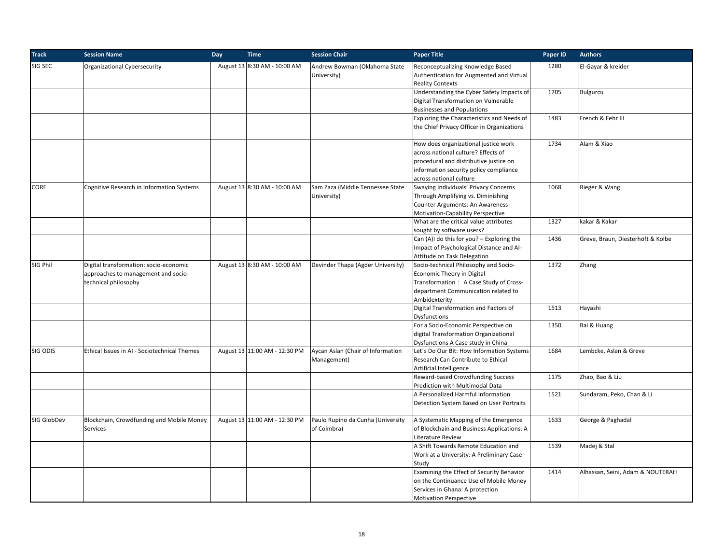| <b>Track</b> | <b>Session Name</b>                                                                                   | Day | <b>Time</b>                   | <b>Session Chair</b>                             | <b>Paper Title</b>                                                                                                                                                                         | Paper ID | <b>Authors</b>                    |
|--------------|-------------------------------------------------------------------------------------------------------|-----|-------------------------------|--------------------------------------------------|--------------------------------------------------------------------------------------------------------------------------------------------------------------------------------------------|----------|-----------------------------------|
| SIG SEC      | Organizational Cybersecurity                                                                          |     | August 13 8:30 AM - 10:00 AM  | Andrew Bowman (Oklahoma State<br>University)     | Reconceptualizing Knowledge Based<br>Authentication for Augmented and Virtual<br><b>Reality Contexts</b>                                                                                   | 1280     | El-Gayar & kreider                |
|              |                                                                                                       |     |                               |                                                  | Understanding the Cyber Safety Impacts of<br>Digital Transformation on Vulnerable<br><b>Businesses and Populations</b>                                                                     | 1705     | Bulgurcu                          |
|              |                                                                                                       |     |                               |                                                  | Exploring the Characteristics and Needs of<br>the Chief Privacy Officer in Organizations                                                                                                   | 1483     | French & Fehr III                 |
|              |                                                                                                       |     |                               |                                                  | How does organizational justice work<br>across national culture? Effects of<br>procedural and distributive justice on<br>information security policy compliance<br>across national culture | 1734     | Alam & Xiao                       |
| CORE         | Cognitive Research in Information Systems                                                             |     | August 13 8:30 AM - 10:00 AM  | Sam Zaza (Middle Tennessee State<br>University)  | Swaying Individuals' Privacy Concerns<br>Through Amplifying vs. Diminishing<br>Counter Arguments: An Awareness-<br>Motivation-Capability Perspective                                       | 1068     | Rieger & Wang                     |
|              |                                                                                                       |     |                               |                                                  | What are the critical value attributes<br>sought by software users?                                                                                                                        | 1327     | kakar & Kakar                     |
|              |                                                                                                       |     |                               |                                                  | Can (A)I do this for you? - Exploring the<br>Impact of Psychological Distance and Al-<br>Attitude on Task Delegation                                                                       | 1436     | Greve, Braun, Diesterhöft & Kolbe |
| SIG Phil     | Digital transformation: socio-economic<br>approaches to management and socio-<br>technical philosophy |     | August 13 8:30 AM - 10:00 AM  | Devinder Thapa (Agder University)                | Socio-technical Philosophy and Socio-<br>Economic Theory in Digital<br>Transformation: A Case Study of Cross-<br>department Communication related to<br>Ambidexterity                      | 1372     | Zhang                             |
|              |                                                                                                       |     |                               |                                                  | Digital Transformation and Factors of<br><b>Dysfunctions</b>                                                                                                                               | 1513     | Hayashi                           |
|              |                                                                                                       |     |                               |                                                  | For a Socio-Economic Perspective on<br>digital Transformation Organizational<br>Dysfunctions A Case study in China                                                                         | 1350     | Bai & Huang                       |
| SIG ODIS     | Ethical Issues in AI - Sociotechnical Themes                                                          |     | August 13 11:00 AM - 12:30 PM | Aycan Aslan (Chair of Information<br>Management) | Let's Do Our Bit: How Information Systems<br>Research Can Contribute to Ethical<br>Artificial Intelligence                                                                                 | 1684     | Lembcke, Aslan & Greve            |
|              |                                                                                                       |     |                               |                                                  | Reward-based Crowdfunding Success<br>Prediction with Multimodal Data                                                                                                                       | 1175     | Zhao, Bao & Liu                   |
|              |                                                                                                       |     |                               |                                                  | A Personalized Harmful Information<br>Detection System Based on User Portraits                                                                                                             | 1521     | Sundaram, Peko, Chan & Li         |
| SIG GlobDev  | Blockchain, Crowdfunding and Mobile Money<br>Services                                                 |     | August 13 11:00 AM - 12:30 PM | Paulo Rupino da Cunha (University<br>of Coimbra) | A Systematic Mapping of the Emergence<br>of Blockchain and Business Applications: A<br>Literature Review                                                                                   | 1633     | George & Paghadal                 |
|              |                                                                                                       |     |                               |                                                  | A Shift Towards Remote Education and<br>Work at a University: A Preliminary Case<br>Study                                                                                                  | 1539     | Madej & Stal                      |
|              |                                                                                                       |     |                               |                                                  | Examining the Effect of Security Behavior<br>on the Continuance Use of Mobile Money<br>Services in Ghana: A protection<br><b>Motivation Perspective</b>                                    | 1414     | Alhassan, Seini, Adam & NOUTERAH  |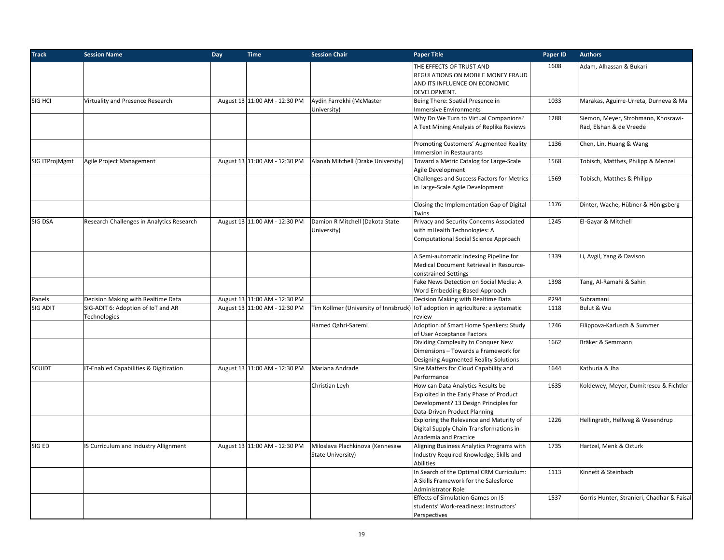| <b>Track</b>   | <b>Session Name</b>                                | Day | <b>Time</b>                   | <b>Session Chair</b>                                 | <b>Paper Title</b>                                                                                                                                    | Paper ID | <b>Authors</b>                                                 |
|----------------|----------------------------------------------------|-----|-------------------------------|------------------------------------------------------|-------------------------------------------------------------------------------------------------------------------------------------------------------|----------|----------------------------------------------------------------|
|                |                                                    |     |                               |                                                      | THE EFFECTS OF TRUST AND<br>REGULATIONS ON MOBILE MONEY FRAUD<br>AND ITS INFLUENCE ON ECONOMIC                                                        | 1608     | Adam, Alhassan & Bukari                                        |
| SIG HCI        | Virtuality and Presence Research                   |     | August 13 11:00 AM - 12:30 PM | Aydin Farrokhi (McMaster<br>University)              | DEVELOPMENT.<br>Being There: Spatial Presence in<br><b>Immersive Environments</b>                                                                     | 1033     | Marakas, Aguirre-Urreta, Durneva & Ma                          |
|                |                                                    |     |                               |                                                      | Why Do We Turn to Virtual Companions?<br>A Text Mining Analysis of Replika Reviews                                                                    | 1288     | Siemon, Meyer, Strohmann, Khosrawi-<br>Rad, Elshan & de Vreede |
|                |                                                    |     |                               |                                                      | Promoting Customers' Augmented Reality<br>Immersion in Restaurants                                                                                    | 1136     | Chen, Lin, Huang & Wang                                        |
| SIG ITProjMgmt | Agile Project Management                           |     | August 13 11:00 AM - 12:30 PM | Alanah Mitchell (Drake University)                   | Toward a Metric Catalog for Large-Scale<br>Agile Development                                                                                          | 1568     | Tobisch, Matthes, Philipp & Menzel                             |
|                |                                                    |     |                               |                                                      | Challenges and Success Factors for Metrics<br>in Large-Scale Agile Development                                                                        | 1569     | Tobisch, Matthes & Philipp                                     |
|                |                                                    |     |                               |                                                      | Closing the Implementation Gap of Digital<br>Twins                                                                                                    | 1176     | Dinter, Wache, Hübner & Hönigsberg                             |
| SIG DSA        | Research Challenges in Analytics Research          |     | August 13 11:00 AM - 12:30 PM | Damion R Mitchell (Dakota State<br>University)       | Privacy and Security Concerns Associated<br>with mHealth Technologies: A<br>Computational Social Science Approach                                     | 1245     | El-Gayar & Mitchell                                            |
|                |                                                    |     |                               |                                                      | A Semi-automatic Indexing Pipeline for<br>Medical Document Retrieval in Resource-<br>constrained Settings                                             | 1339     | Li, Avgil, Yang & Davison                                      |
|                |                                                    |     |                               |                                                      | Fake News Detection on Social Media: A<br>Word Embedding-Based Approach                                                                               | 1398     | Tang, Al-Ramahi & Sahin                                        |
| Panels         | Decision Making with Realtime Data                 |     | August 13 11:00 AM - 12:30 PM |                                                      | Decision Making with Realtime Data                                                                                                                    | P294     | Subramani                                                      |
| SIG ADIT       | SIG-ADIT 6: Adoption of IoT and AR<br>Technologies |     | August 13 11:00 AM - 12:30 PM |                                                      | Tim Kollmer (University of Innsbruck)   IoT adoption in agriculture: a systematic<br>review                                                           | 1118     | Bulut & Wu                                                     |
|                |                                                    |     |                               | Hamed Qahri-Saremi                                   | Adoption of Smart Home Speakers: Study<br>of User Acceptance Factors                                                                                  | 1746     | Filippova-Karlusch & Summer                                    |
|                |                                                    |     |                               |                                                      | Dividing Complexity to Conquer New<br>Dimensions - Towards a Framework for<br>Designing Augmented Reality Solutions                                   | 1662     | Bräker & Semmann                                               |
| SCUIDT         | IT-Enabled Capabilities & Digitization             |     | August 13 11:00 AM - 12:30 PM | Mariana Andrade                                      | Size Matters for Cloud Capability and<br>Performance                                                                                                  | 1644     | Kathuria & Jha                                                 |
|                |                                                    |     |                               | Christian Leyh                                       | How can Data Analytics Results be<br>Exploited in the Early Phase of Product<br>Development? 13 Design Principles for<br>Data-Driven Product Planning | 1635     | Koldewey, Meyer, Dumitrescu & Fichtler                         |
|                |                                                    |     |                               |                                                      | Exploring the Relevance and Maturity of<br>Digital Supply Chain Transformations in<br>Academia and Practice                                           | 1226     | Hellingrath, Hellweg & Wesendrup                               |
| SIG ED         | IS Curriculum and Industry Allignment              |     | August 13 11:00 AM - 12:30 PM | Miloslava Plachkinova (Kennesaw<br>State University) | Aligning Business Analytics Programs with<br>Industry Required Knowledge, Skills and<br>Abilities                                                     | 1735     | Hartzel, Menk & Ozturk                                         |
|                |                                                    |     |                               |                                                      | In Search of the Optimal CRM Curriculum:<br>A Skills Framework for the Salesforce<br><b>Administrator Role</b>                                        | 1113     | Kinnett & Steinbach                                            |
|                |                                                    |     |                               |                                                      | Effects of Simulation Games on IS<br>students' Work-readiness: Instructors'<br>Perspectives                                                           | 1537     | Gorris-Hunter, Stranieri, Chadhar & Faisal                     |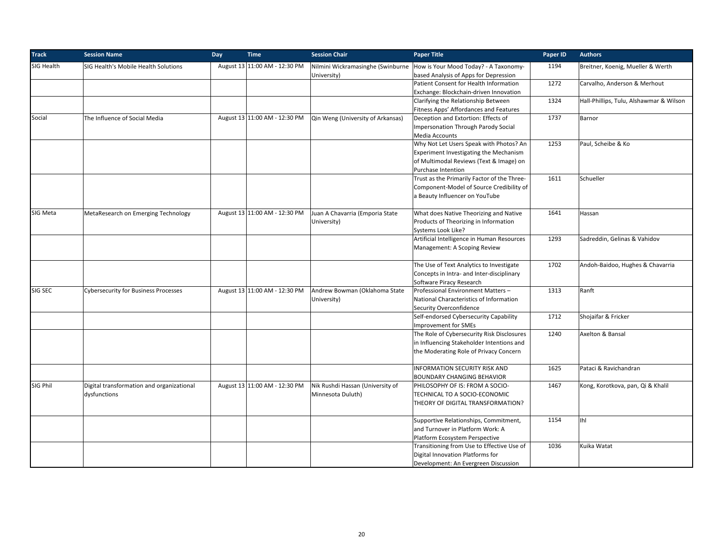| <b>Track</b> | <b>Session Name</b>                                       | Day | <b>Time</b>                   | <b>Session Chair</b>                                  | <b>Paper Title</b>                                                                                                                                 | Paper ID | <b>Authors</b>                          |
|--------------|-----------------------------------------------------------|-----|-------------------------------|-------------------------------------------------------|----------------------------------------------------------------------------------------------------------------------------------------------------|----------|-----------------------------------------|
| SIG Health   | SIG Health's Mobile Health Solutions                      |     | August 13 11:00 AM - 12:30 PM | Nilmini Wickramasinghe (Swinburne<br>University)      | How is Your Mood Today? - A Taxonomy-<br>based Analysis of Apps for Depression                                                                     | 1194     | Breitner, Koenig, Mueller & Werth       |
|              |                                                           |     |                               |                                                       | Patient Consent for Health Information<br>Exchange: Blockchain-driven Innovation                                                                   | 1272     | Carvalho, Anderson & Merhout            |
|              |                                                           |     |                               |                                                       | Clarifying the Relationship Between<br>Fitness Apps' Affordances and Features                                                                      | 1324     | Hall-Phillips, Tulu, Alshawmar & Wilson |
| Social       | The Influence of Social Media                             |     | August 13 11:00 AM - 12:30 PM | Qin Weng (University of Arkansas)                     | Deception and Extortion: Effects of<br><b>Impersonation Through Parody Social</b><br>Media Accounts                                                | 1737     | Barnor                                  |
|              |                                                           |     |                               |                                                       | Why Not Let Users Speak with Photos? An<br>Experiment Investigating the Mechanism<br>of Multimodal Reviews (Text & Image) on<br>Purchase Intention | 1253     | Paul, Scheibe & Ko                      |
|              |                                                           |     |                               |                                                       | Trust as the Primarily Factor of the Three-<br>Component-Model of Source Credibility of<br>a Beauty Influencer on YouTube                          | 1611     | Schueller                               |
| SIG Meta     | MetaResearch on Emerging Technology                       |     | August 13 11:00 AM - 12:30 PM | Juan A Chavarria (Emporia State<br>University)        | What does Native Theorizing and Native<br>Products of Theorizing in Information<br>Systems Look Like?                                              | 1641     | Hassan                                  |
|              |                                                           |     |                               |                                                       | Artificial Intelligence in Human Resources<br>Management: A Scoping Review                                                                         | 1293     | Sadreddin, Gelinas & Vahidov            |
|              |                                                           |     |                               |                                                       | The Use of Text Analytics to Investigate<br>Concepts in Intra- and Inter-disciplinary<br>Software Piracy Research                                  | 1702     | Andoh-Baidoo, Hughes & Chavarria        |
| SIG SEC      | <b>Cybersecurity for Business Processes</b>               |     | August 13 11:00 AM - 12:30 PM | Andrew Bowman (Oklahoma State<br>University)          | Professional Environment Matters-<br>National Characteristics of Information<br>Security Overconfidence                                            | 1313     | Ranft                                   |
|              |                                                           |     |                               |                                                       | Self-endorsed Cybersecurity Capability<br><b>Improvement for SMEs</b>                                                                              | 1712     | Shojaifar & Fricker                     |
|              |                                                           |     |                               |                                                       | The Role of Cybersecurity Risk Disclosures<br>in Influencing Stakeholder Intentions and<br>the Moderating Role of Privacy Concern                  | 1240     | Axelton & Bansal                        |
|              |                                                           |     |                               |                                                       | INFORMATION SECURITY RISK AND<br><b>BOUNDARY CHANGING BEHAVIOR</b>                                                                                 | 1625     | Pataci & Ravichandran                   |
| SIG Phil     | Digital transformation and organizational<br>dysfunctions |     | August 13 11:00 AM - 12:30 PM | Nik Rushdi Hassan (University of<br>Minnesota Duluth) | PHILOSOPHY OF IS: FROM A SOCIO-<br>TECHNICAL TO A SOCIO-ECONOMIC<br>THEORY OF DIGITAL TRANSFORMATION?                                              | 1467     | Kong, Korotkova, pan, Qi & Khalil       |
|              |                                                           |     |                               |                                                       | Supportive Relationships, Commitment,<br>and Turnover in Platform Work: A<br>Platform Ecosystem Perspective                                        | 1154     | Ihl                                     |
|              |                                                           |     |                               |                                                       | Transitioning from Use to Effective Use of<br>Digital Innovation Platforms for<br>Development: An Evergreen Discussion                             | 1036     | Kuika Watat                             |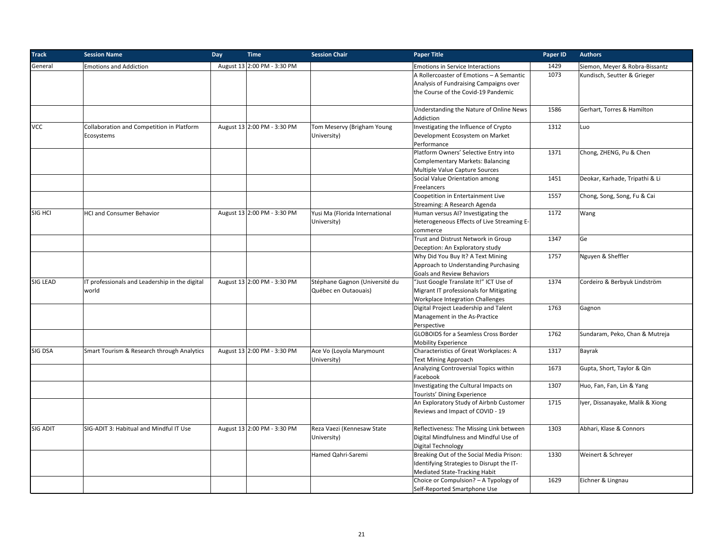| <b>Track</b> | <b>Session Name</b>                            | Day | <b>Time</b>                 | <b>Session Chair</b>              | <b>Paper Title</b>                                                                                                                                                                                                                                              | Paper ID     | <b>Authors</b>                          |
|--------------|------------------------------------------------|-----|-----------------------------|-----------------------------------|-----------------------------------------------------------------------------------------------------------------------------------------------------------------------------------------------------------------------------------------------------------------|--------------|-----------------------------------------|
| General      | <b>Emotions and Addiction</b>                  |     | August 13 2:00 PM - 3:30 PM |                                   | <b>Emotions in Service Interactions</b>                                                                                                                                                                                                                         | 1429         | Siemon, Meyer & Robra-Bissantz          |
|              |                                                |     |                             |                                   | A Rollercoaster of Emotions - A Semantic                                                                                                                                                                                                                        | 1073         | Kundisch, Seutter & Grieger             |
|              |                                                |     |                             |                                   | Analysis of Fundraising Campaigns over                                                                                                                                                                                                                          |              |                                         |
|              |                                                |     |                             |                                   | the Course of the Covid-19 Pandemic                                                                                                                                                                                                                             |              |                                         |
|              |                                                |     |                             |                                   |                                                                                                                                                                                                                                                                 |              |                                         |
|              |                                                |     |                             |                                   | Understanding the Nature of Online News                                                                                                                                                                                                                         | 1586         | Gerhart, Torres & Hamilton              |
|              |                                                |     |                             |                                   | Addiction                                                                                                                                                                                                                                                       |              |                                         |
| <b>VCC</b>   | Collaboration and Competition in Platform      |     | August 13 2:00 PM - 3:30 PM | Tom Meservy (Brigham Young        | Investigating the Influence of Crypto                                                                                                                                                                                                                           | 1312         | Luo                                     |
|              | Ecosystems                                     |     |                             | University)                       | Development Ecosystem on Market                                                                                                                                                                                                                                 |              |                                         |
|              |                                                |     |                             |                                   | Performance                                                                                                                                                                                                                                                     |              |                                         |
|              |                                                |     |                             |                                   | Platform Owners' Selective Entry into                                                                                                                                                                                                                           | 1371         | Chong, ZHENG, Pu & Chen                 |
|              |                                                |     |                             |                                   | Complementary Markets: Balancing                                                                                                                                                                                                                                |              |                                         |
|              |                                                |     |                             |                                   | Multiple Value Capture Sources                                                                                                                                                                                                                                  |              |                                         |
|              |                                                |     |                             |                                   | Social Value Orientation among                                                                                                                                                                                                                                  | 1451         | Deokar, Karhade, Tripathi & Li          |
|              |                                                |     |                             |                                   | Freelancers                                                                                                                                                                                                                                                     |              |                                         |
|              |                                                |     |                             |                                   | Coopetition in Entertainment Live                                                                                                                                                                                                                               | 1557         | Chong, Song, Song, Fu & Cai             |
|              |                                                |     |                             |                                   | Streaming: A Research Agenda                                                                                                                                                                                                                                    |              |                                         |
| SIG HCI      | <b>HCI and Consumer Behavior</b>               |     | August 13 2:00 PM - 3:30 PM | Yusi Ma (Florida International    | Human versus AI? Investigating the                                                                                                                                                                                                                              | 1172         | Wang                                    |
|              |                                                |     |                             | University)                       | Heterogeneous Effects of Live Streaming E-                                                                                                                                                                                                                      |              |                                         |
|              |                                                |     |                             |                                   | commerce                                                                                                                                                                                                                                                        |              |                                         |
|              |                                                |     |                             |                                   | Trust and Distrust Network in Group                                                                                                                                                                                                                             | 1347         | Ge                                      |
|              |                                                |     |                             |                                   | Deception: An Exploratory study                                                                                                                                                                                                                                 |              |                                         |
|              |                                                |     |                             |                                   | Why Did You Buy It? A Text Mining                                                                                                                                                                                                                               | 1757         | Nguyen & Sheffler                       |
|              |                                                |     |                             |                                   | Approach to Understanding Purchasing                                                                                                                                                                                                                            |              |                                         |
|              |                                                |     |                             |                                   | Goals and Review Behaviors                                                                                                                                                                                                                                      |              |                                         |
| SIG LEAD     | IT professionals and Leadership in the digital |     | August 13 2:00 PM - 3:30 PM | Stéphane Gagnon (Université du    | "Just Google Translate It!" ICT Use of                                                                                                                                                                                                                          | 1374         | Cordeiro & Berbyuk Lindström            |
|              | world                                          |     |                             | Québec en Outaouais)              | Migrant IT professionals for Mitigating                                                                                                                                                                                                                         |              |                                         |
|              |                                                |     |                             |                                   | Workplace Integration Challenges                                                                                                                                                                                                                                |              |                                         |
|              |                                                |     |                             |                                   | Digital Project Leadership and Talent                                                                                                                                                                                                                           | 1763         | Gagnon                                  |
|              |                                                |     |                             |                                   | Management in the As-Practice                                                                                                                                                                                                                                   |              |                                         |
|              |                                                |     |                             |                                   | Perspective                                                                                                                                                                                                                                                     |              |                                         |
|              |                                                |     |                             |                                   | <b>GLOBOIDS for a Seamless Cross Border</b>                                                                                                                                                                                                                     | 1762         | Sundaram, Peko, Chan & Mutreja          |
|              |                                                |     |                             |                                   | <b>Mobility Experience</b>                                                                                                                                                                                                                                      |              |                                         |
| SIG DSA      | Smart Tourism & Research through Analytics     |     | August 13 2:00 PM - 3:30 PM | Ace Vo (Loyola Marymount          | Characteristics of Great Workplaces: A                                                                                                                                                                                                                          | 1317         | Bayrak                                  |
|              |                                                |     |                             | University)                       | <b>Text Mining Approach</b>                                                                                                                                                                                                                                     |              |                                         |
|              |                                                |     |                             |                                   | Analyzing Controversial Topics within                                                                                                                                                                                                                           | 1673         | Gupta, Short, Taylor & Qin              |
|              |                                                |     |                             |                                   | Facebook                                                                                                                                                                                                                                                        |              |                                         |
|              |                                                |     |                             |                                   | Investigating the Cultural Impacts on                                                                                                                                                                                                                           | 1307         | Huo, Fan, Fan, Lin & Yang               |
|              |                                                |     |                             |                                   | Tourists' Dining Experience                                                                                                                                                                                                                                     |              |                                         |
|              |                                                |     |                             |                                   | An Exploratory Study of Airbnb Customer                                                                                                                                                                                                                         | 1715         | Iyer, Dissanayake, Malik & Xiong        |
|              |                                                |     |                             |                                   | Reviews and Impact of COVID - 19                                                                                                                                                                                                                                |              |                                         |
|              |                                                |     |                             |                                   |                                                                                                                                                                                                                                                                 |              |                                         |
| SIG ADIT     | SIG-ADIT 3: Habitual and Mindful IT Use        |     | August 13 2:00 PM - 3:30 PM | Reza Vaezi (Kennesaw State        | Reflectiveness: The Missing Link between                                                                                                                                                                                                                        | 1303         | Abhari, Klase & Connors                 |
|              |                                                |     |                             |                                   |                                                                                                                                                                                                                                                                 |              |                                         |
|              |                                                |     |                             |                                   |                                                                                                                                                                                                                                                                 |              |                                         |
|              |                                                |     |                             |                                   |                                                                                                                                                                                                                                                                 |              |                                         |
|              |                                                |     |                             |                                   |                                                                                                                                                                                                                                                                 |              |                                         |
|              |                                                |     |                             |                                   |                                                                                                                                                                                                                                                                 |              |                                         |
|              |                                                |     |                             |                                   |                                                                                                                                                                                                                                                                 |              |                                         |
|              |                                                |     |                             |                                   |                                                                                                                                                                                                                                                                 |              |                                         |
|              |                                                |     |                             | University)<br>Hamed Qahri-Saremi | Digital Mindfulness and Mindful Use of<br>Digital Technology<br>Breaking Out of the Social Media Prison:<br>Identifying Strategies to Disrupt the IT-<br>Mediated State-Tracking Habit<br>Choice or Compulsion? - A Typology of<br>Self-Reported Smartphone Use | 1330<br>1629 | Weinert & Schreyer<br>Eichner & Lingnau |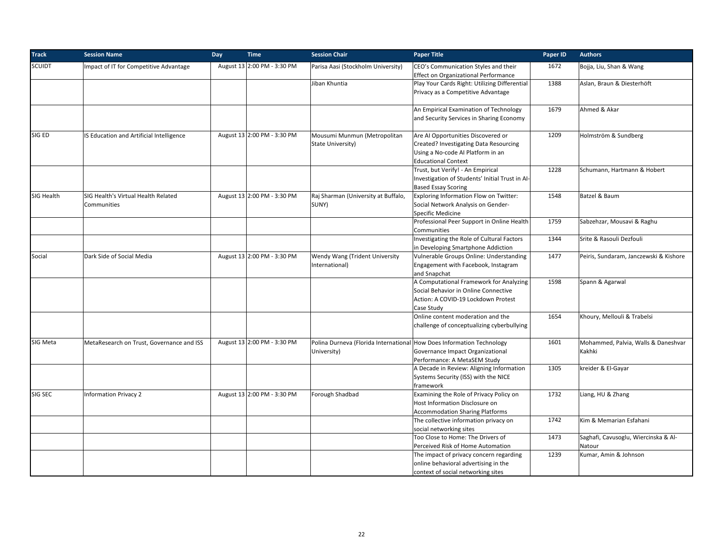| <b>Track</b>  | <b>Session Name</b>                                | Day | <b>Time</b>                 | <b>Session Chair</b>                                                                 | <b>Paper Title</b>                                                                                                                                   | Paper ID | <b>Authors</b>                                |
|---------------|----------------------------------------------------|-----|-----------------------------|--------------------------------------------------------------------------------------|------------------------------------------------------------------------------------------------------------------------------------------------------|----------|-----------------------------------------------|
| <b>SCUIDT</b> | Impact of IT for Competitive Advantage             |     | August 13 2:00 PM - 3:30 PM | Parisa Aasi (Stockholm University)                                                   | CEO's Communication Styles and their<br><b>Effect on Organizational Performance</b>                                                                  | 1672     | Bojja, Liu, Shan & Wang                       |
|               |                                                    |     |                             | Jiban Khuntia                                                                        | Play Your Cards Right: Utilizing Differential<br>Privacy as a Competitive Advantage                                                                  | 1388     | Aslan, Braun & Diesterhöft                    |
|               |                                                    |     |                             |                                                                                      | An Empirical Examination of Technology<br>and Security Services in Sharing Economy                                                                   | 1679     | Ahmed & Akar                                  |
| SIG ED        | IS Education and Artificial Intelligence           |     | August 13 2:00 PM - 3:30 PM | Mousumi Munmun (Metropolitan<br>State University)                                    | Are AI Opportunities Discovered or<br>Created? Investigating Data Resourcing<br>Using a No-code AI Platform in an<br><b>Educational Context</b>      | 1209     | Holmström & Sundberg                          |
|               |                                                    |     |                             |                                                                                      | Trust, but Verify! - An Empirical<br>Investigation of Students' Initial Trust in Al-<br><b>Based Essay Scoring</b>                                   | 1228     | Schumann, Hartmann & Hobert                   |
| SIG Health    | SIG Health's Virtual Health Related<br>Communities |     | August 13 2:00 PM - 3:30 PM | Raj Sharman (University at Buffalo,<br>SUNY)                                         | Exploring Information Flow on Twitter:<br>Social Network Analysis on Gender-<br>Specific Medicine                                                    | 1548     | Batzel & Baum                                 |
|               |                                                    |     |                             |                                                                                      | Professional Peer Support in Online Health                                                                                                           | 1759     | Sabzehzar, Mousavi & Raghu                    |
|               |                                                    |     |                             |                                                                                      | Communities<br>Investigating the Role of Cultural Factors                                                                                            | 1344     | Srite & Rasouli Dezfouli                      |
|               |                                                    |     |                             |                                                                                      | in Developing Smartphone Addiction                                                                                                                   |          |                                               |
| Social        | Dark Side of Social Media                          |     | August 13 2:00 PM - 3:30 PM | Wendy Wang (Trident University<br>International)                                     | Vulnerable Groups Online: Understanding<br>Engagement with Facebook, Instagram                                                                       | 1477     | Peiris, Sundaram, Janczewski & Kishore        |
|               |                                                    |     |                             |                                                                                      | and Snapchat<br>A Computational Framework for Analyzing<br>Social Behavior in Online Connective<br>Action: A COVID-19 Lockdown Protest<br>Case Study | 1598     | Spann & Agarwal                               |
|               |                                                    |     |                             |                                                                                      | Online content moderation and the<br>challenge of conceptualizing cyberbullying                                                                      | 1654     | Khoury, Mellouli & Trabelsi                   |
| SIG Meta      | MetaResearch on Trust, Governance and ISS          |     | August 13 2:00 PM - 3:30 PM | Polina Durneva (Florida International How Does Information Technology<br>University) | Governance Impact Organizational<br>Performance: A MetaSEM Study                                                                                     | 1601     | Mohammed, Palvia, Walls & Daneshvar<br>Kakhki |
|               |                                                    |     |                             |                                                                                      | A Decade in Review: Aligning Information<br>Systems Security (ISS) with the NICE<br>framework                                                        | 1305     | kreider & El-Gayar                            |
| SIG SEC       | <b>Information Privacy 2</b>                       |     | August 13 2:00 PM - 3:30 PM | Forough Shadbad                                                                      | Examining the Role of Privacy Policy on<br>Host Information Disclosure on<br><b>Accommodation Sharing Platforms</b>                                  | 1732     | Liang, HU & Zhang                             |
|               |                                                    |     |                             |                                                                                      | The collective information privacy on<br>social networking sites                                                                                     | 1742     | Kim & Memarian Esfahani                       |
|               |                                                    |     |                             |                                                                                      | Too Close to Home: The Drivers of                                                                                                                    | 1473     | Saghafi, Cavusoglu, Wiercinska & Al-          |
|               |                                                    |     |                             |                                                                                      | Perceived Risk of Home Automation                                                                                                                    |          | Natour                                        |
|               |                                                    |     |                             |                                                                                      | The impact of privacy concern regarding<br>online behavioral advertising in the<br>context of social networking sites                                | 1239     | Kumar, Amin & Johnson                         |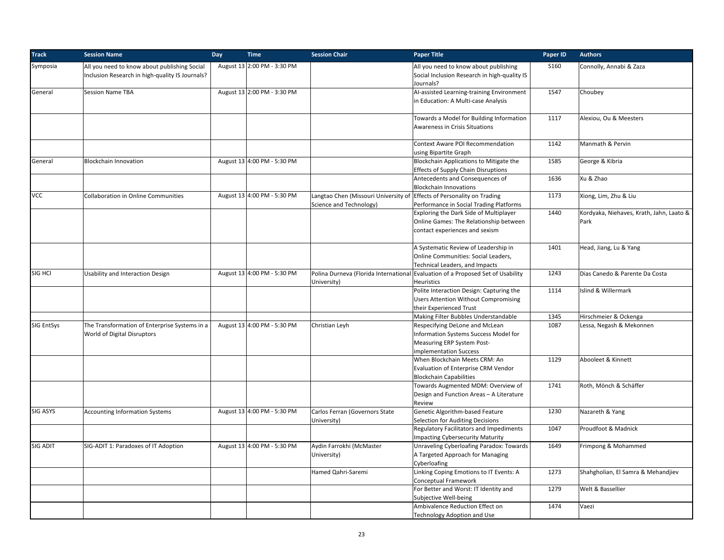| <b>Track</b>    | <b>Session Name</b>                                                                             | Day | <b>Time</b>                 | <b>Session Chair</b>                                                                              | <b>Paper Title</b>                                                                                                              | Paper ID | <b>Authors</b>                                   |
|-----------------|-------------------------------------------------------------------------------------------------|-----|-----------------------------|---------------------------------------------------------------------------------------------------|---------------------------------------------------------------------------------------------------------------------------------|----------|--------------------------------------------------|
| Symposia        | All you need to know about publishing Social<br>Inclusion Research in high-quality IS Journals? |     | August 13 2:00 PM - 3:30 PM |                                                                                                   | All you need to know about publishing<br>Social Inclusion Research in high-quality IS<br>Journals?                              | S160     | Connolly, Annabi & Zaza                          |
| General         | Session Name TBA                                                                                |     | August 13 2:00 PM - 3:30 PM |                                                                                                   | Al-assisted Learning-training Environment<br>in Education: A Multi-case Analysis                                                | 1547     | Choubey                                          |
|                 |                                                                                                 |     |                             |                                                                                                   | Towards a Model for Building Information<br>Awareness in Crisis Situations                                                      | 1117     | Alexiou, Ou & Meesters                           |
|                 |                                                                                                 |     |                             |                                                                                                   | Context Aware POI Recommendation<br>using Bipartite Graph                                                                       | 1142     | Manmath & Pervin                                 |
| General         | <b>Blockchain Innovation</b>                                                                    |     | August 13 4:00 PM - 5:30 PM |                                                                                                   | Blockchain Applications to Mitigate the<br><b>Effects of Supply Chain Disruptions</b>                                           | 1585     | George & Kibria                                  |
|                 |                                                                                                 |     |                             |                                                                                                   | Antecedents and Consequences of<br><b>Blockchain Innovations</b>                                                                | 1636     | Xu & Zhao                                        |
| <b>VCC</b>      | <b>Collaboration in Online Communities</b>                                                      |     | August 13 4:00 PM - 5:30 PM | Langtao Chen (Missouri University of Effects of Personality on Trading<br>Science and Technology) | Performance in Social Trading Platforms                                                                                         | 1173     | Xiong, Lim, Zhu & Liu                            |
|                 |                                                                                                 |     |                             |                                                                                                   | Exploring the Dark Side of Multiplayer<br>Online Games: The Relationship between<br>contact experiences and sexism              | 1440     | Kordyaka, Niehaves, Krath, Jahn, Laato &<br>Park |
|                 |                                                                                                 |     |                             |                                                                                                   | A Systematic Review of Leadership in<br>Online Communities: Social Leaders,<br>Technical Leaders, and Impacts                   | 1401     | Head, Jiang, Lu & Yang                           |
| SIG HCI         | <b>Usability and Interaction Design</b>                                                         |     | August 13 4:00 PM - 5:30 PM | University)                                                                                       | Polina Durneva (Florida International Evaluation of a Proposed Set of Usability<br>Heuristics                                   | 1243     | Dias Canedo & Parente Da Costa                   |
|                 |                                                                                                 |     |                             |                                                                                                   | Polite Interaction Design: Capturing the<br><b>Users Attention Without Compromising</b><br>their Experienced Trust              | 1114     | Islind & Willermark                              |
|                 |                                                                                                 |     |                             |                                                                                                   | Making Filter Bubbles Understandable                                                                                            | 1345     | Hirschmeier & Ockenga                            |
| SIG EntSys      | The Transformation of Enterprise Systems in a<br>World of Digital Disruptors                    |     | August 13 4:00 PM - 5:30 PM | Christian Leyh                                                                                    | Respecifying DeLone and McLean<br>Information Systems Success Model for<br>Measuring ERP System Post-<br>implementation Success | 1087     | Lessa, Negash & Mekonnen                         |
|                 |                                                                                                 |     |                             |                                                                                                   | When Blockchain Meets CRM: An<br>Evaluation of Enterprise CRM Vendor<br><b>Blockchain Capabilities</b>                          | 1129     | Abooleet & Kinnett                               |
|                 |                                                                                                 |     |                             |                                                                                                   | Towards Augmented MDM: Overview of<br>Design and Function Areas - A Literature<br>Review                                        | 1741     | Roth, Mönch & Schäffer                           |
| <b>SIG ASYS</b> | <b>Accounting Information Systems</b>                                                           |     | August 13 4:00 PM - 5:30 PM | Carlos Ferran (Governors State<br>University)                                                     | Genetic Algorithm-based Feature<br>Selection for Auditing Decisions                                                             | 1230     | Nazareth & Yang                                  |
|                 |                                                                                                 |     |                             |                                                                                                   | <b>Regulatory Facilitators and Impediments</b><br><b>Impacting Cybersecurity Maturity</b>                                       | 1047     | Proudfoot & Madnick                              |
| <b>SIG ADIT</b> | SIG-ADIT 1: Paradoxes of IT Adoption                                                            |     | August 13 4:00 PM - 5:30 PM | Aydin Farrokhi (McMaster<br>University)                                                           | Unraveling Cyberloafing Paradox: Towards<br>A Targeted Approach for Managing<br>Cyberloafing                                    | 1649     | Frimpong & Mohammed                              |
|                 |                                                                                                 |     |                             | Hamed Qahri-Saremi                                                                                | Linking Coping Emotions to IT Events: A<br>Conceptual Framework                                                                 | 1273     | Shahgholian, El Samra & Mehandjiev               |
|                 |                                                                                                 |     |                             |                                                                                                   | For Better and Worst: IT Identity and<br>Subjective Well-being                                                                  | 1279     | Welt & Bassellier                                |
|                 |                                                                                                 |     |                             |                                                                                                   | Ambivalence Reduction Effect on<br><b>Technology Adoption and Use</b>                                                           | 1474     | Vaezi                                            |